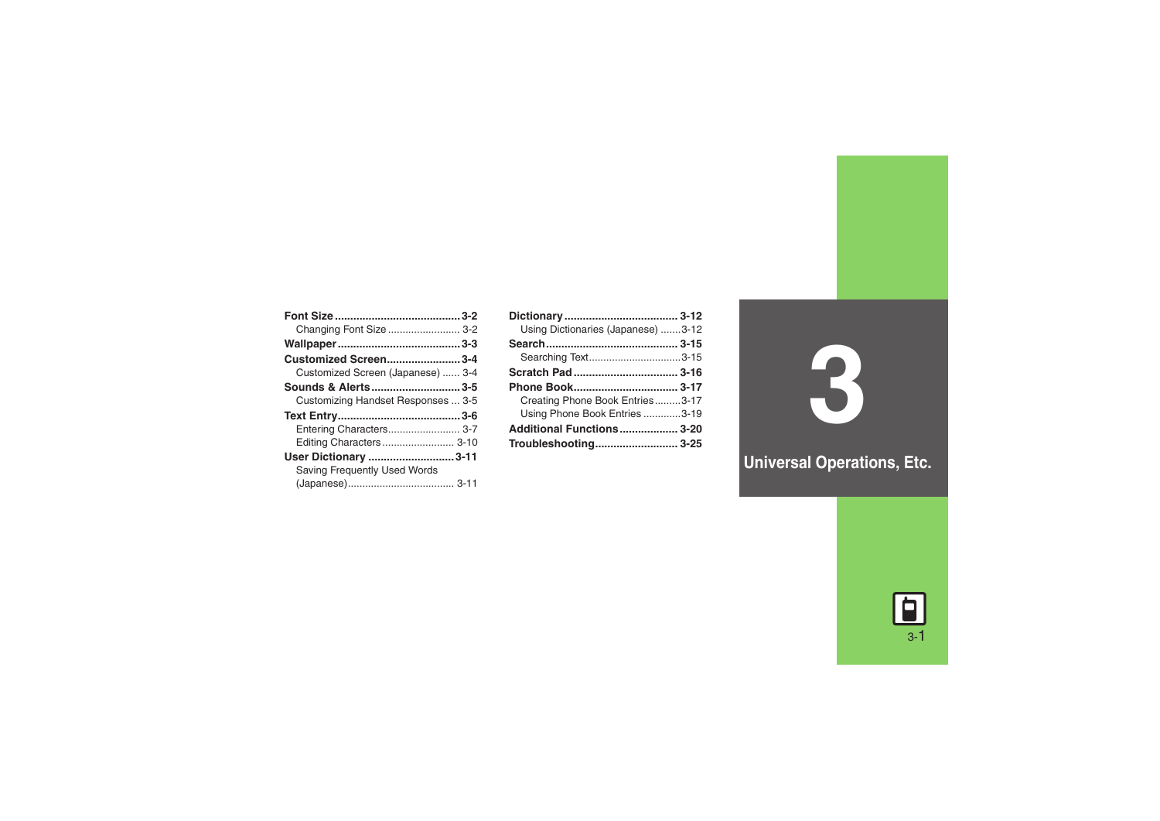| Changing Font Size  3-2<br>Customized Screen3-4<br>Customized Screen (Japanese)  3-4<br>Sounds & Alerts3-5<br>Customizing Handset Responses  3-5<br>Entering Characters 3-7<br>Editing Characters 3-10<br>User Dictionary 3-11<br>Saving Frequently Used Words |  |
|----------------------------------------------------------------------------------------------------------------------------------------------------------------------------------------------------------------------------------------------------------------|--|
|                                                                                                                                                                                                                                                                |  |
|                                                                                                                                                                                                                                                                |  |
|                                                                                                                                                                                                                                                                |  |
|                                                                                                                                                                                                                                                                |  |
|                                                                                                                                                                                                                                                                |  |
|                                                                                                                                                                                                                                                                |  |
|                                                                                                                                                                                                                                                                |  |
|                                                                                                                                                                                                                                                                |  |
|                                                                                                                                                                                                                                                                |  |
|                                                                                                                                                                                                                                                                |  |
|                                                                                                                                                                                                                                                                |  |
|                                                                                                                                                                                                                                                                |  |

| Using Dictionaries (Japanese) 3-12 |  |
|------------------------------------|--|
|                                    |  |
| Searching Text3-15                 |  |
|                                    |  |
|                                    |  |
|                                    |  |
| Creating Phone Book Entries3-17    |  |
| Using Phone Book Entries 3-19      |  |
| Additional Functions 3-20          |  |

**3**

**Universal Operations, Etc.**

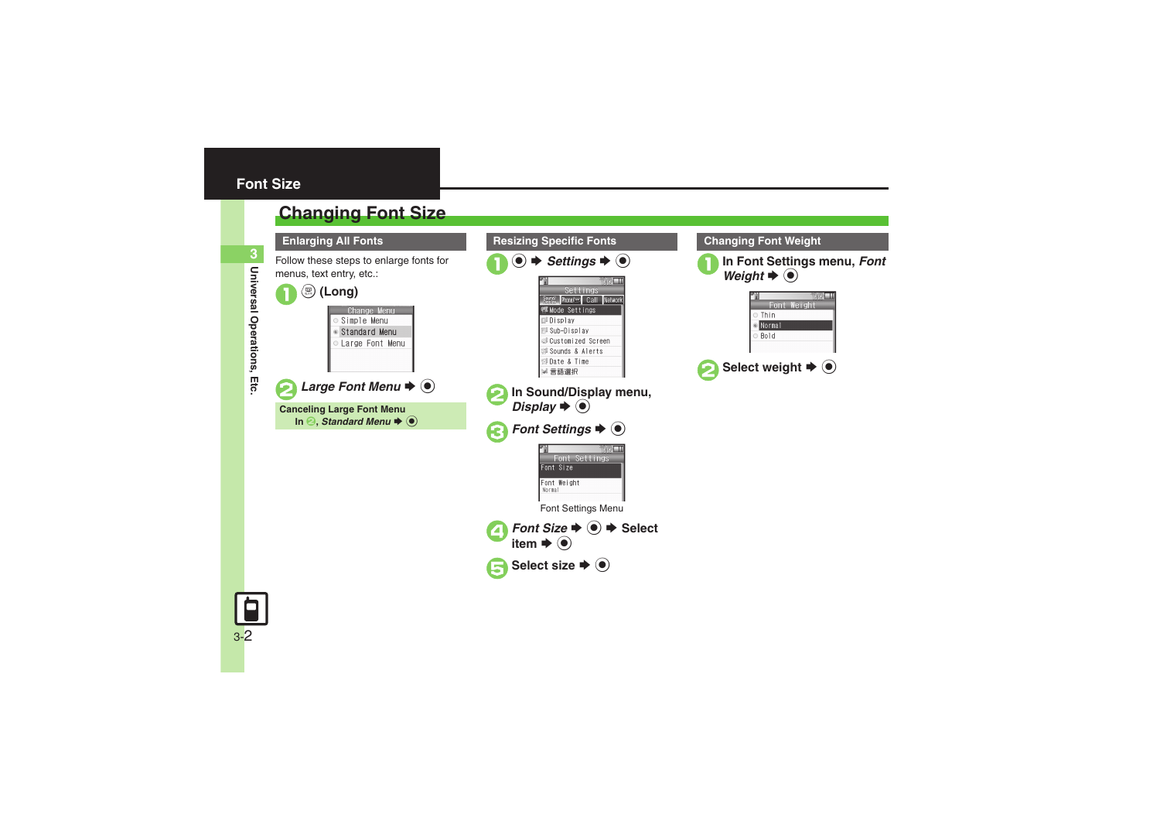3-2

## <span id="page-1-1"></span>**Changing Font Size**

<span id="page-1-0"></span>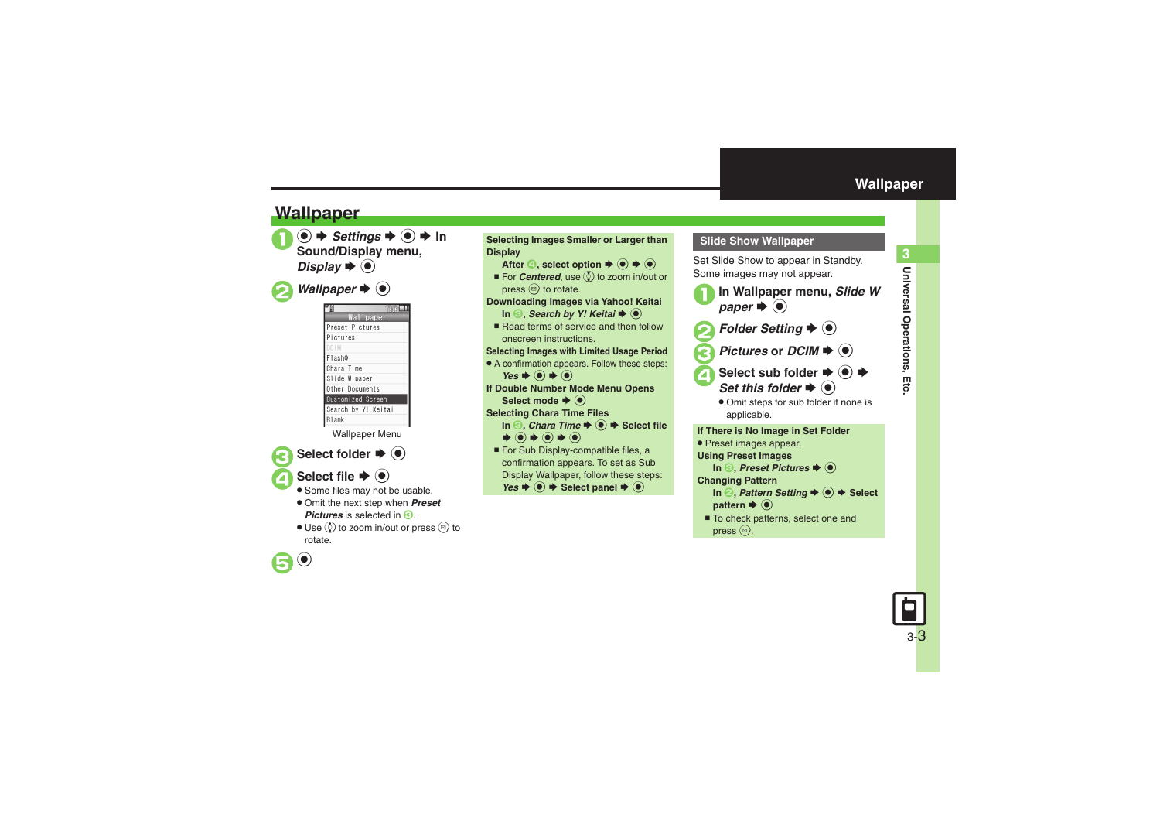## **Wallpaper**

**texable > Settings**  $\Rightarrow$  **6**  $\Rightarrow$  **In Sound/Display menu,** *Display*  $\blacktriangleright$   $\odot$ 

*Wallpaper*  $\blacklozenge$   $\odot$ 

|                     |           | <b>LSTE</b> |
|---------------------|-----------|-------------|
|                     | Wallpaper |             |
| Preset Pictures     |           |             |
| Pictures            |           |             |
| <b>DCIM</b>         |           |             |
| Flash®              |           |             |
| Chara Time          |           |             |
| Slide W paper       |           |             |
| Other Documents     |           |             |
| Customized Screen   |           |             |
| Search by Y! Keitai |           |             |
| Blank               |           |             |
|                     |           |             |

Wallpaper Menu

Select folder  $\blacktriangleright$  ( $\blacklozenge$ )

## Select file  $\blacktriangleright$   $\textcircled{\scriptsize{\bullet}}$

 $\left( \bullet \right)$ 

- Some files may not be usable.
- . Omit the next step when *Preset Pictures* is selected in  $\Theta$ .
- $\bullet$  Use  $\circledS$  to zoom in/out or press  $\circledS$  to rotate.



<span id="page-2-0"></span>

Set Slide Show to appear in Standby. Some images may not appear.



- Select sub folder  $\div$  **(** $\bullet$ **)**  $\div$  $r \blacktriangleright @$ 
	- . Omit steps for sub folder if none is applicable.

**If There is No Image in Set Folder** . Preset images appear. **Using Preset Images In ©, Preset Pictures**  $\blacklozenge$  **(** $\blacklozenge$ **) Changing Pattern In ②, Pattern Setting**  $\blacktriangleright$  **⑥ → Select pattern**  $\blacktriangleright$   $\odot$ ■ To check patterns, select one and

press  $\circledcirc$ .

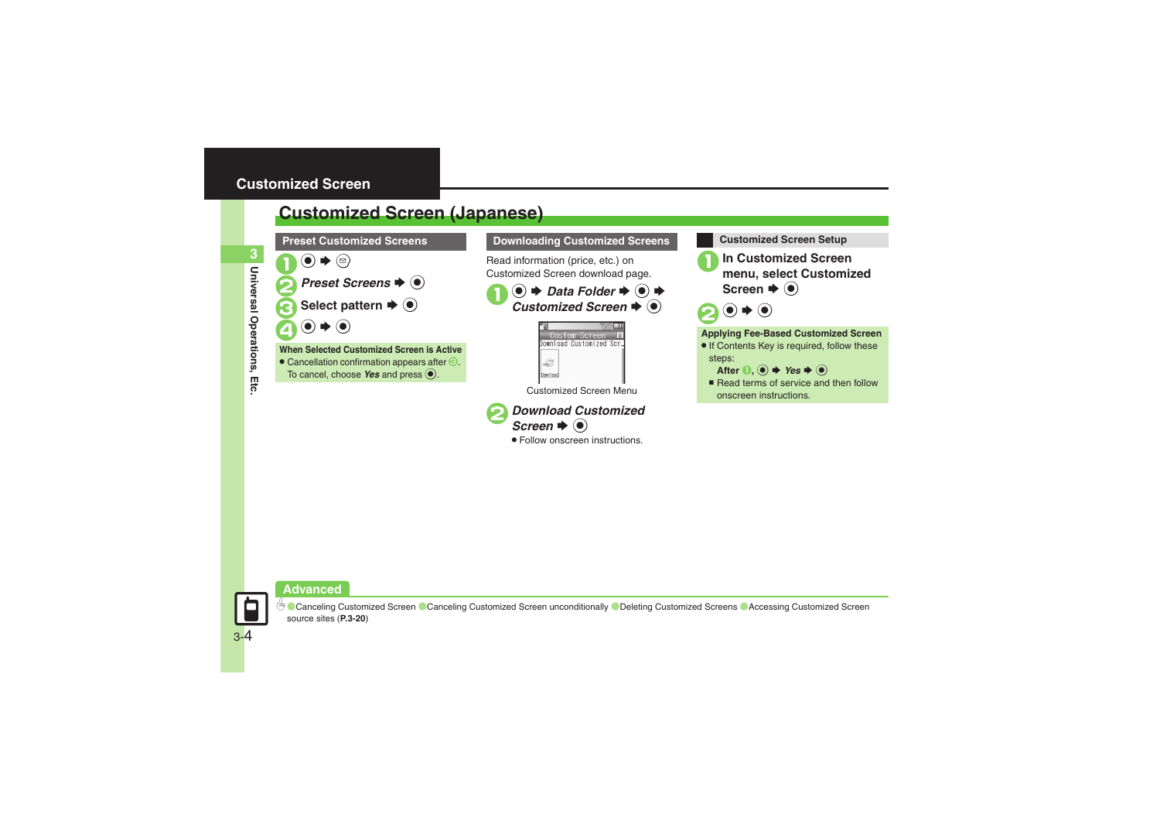## <span id="page-3-1"></span><span id="page-3-0"></span>**Customized Screen (Japanese)**



### **Downloading Customized Screens Customized Screen Setup**

Read information (price, etc.) on Customized Screen download page.

1 **●** *Data Folder*  $\rightarrow$  **●** *Customized Screen*  $\rightarrow$  **●** 



Customized Screen Menu



. Follow onscreen instructions.



1**In Customized Screen menu, select Customized Screen**  $\blacklozenge$ 



### **Applying Fee-Based Customized Screen**

- If Contents Key is required, follow these steps:
	- After  $\textbf{0}$ ,  $\textbf{0} \rightarrow \text{Yes} \rightarrow \textbf{0}$
- $\blacksquare$  Read terms of service and then follow onscreen instructions.



**Universal Operations, Etc.**

Etc

Universal Operations,

**3**

<sup>6</sup>® [Canceling Customized Screen](#page-19-1) ● [Canceling Customized Screen unconditionally](#page-19-2) ● [Deleting Customized Screens](#page-19-3) ● Accessing Customized Screen [source sites](#page-19-4) (**[P.3-20](#page-19-1)**)

3-4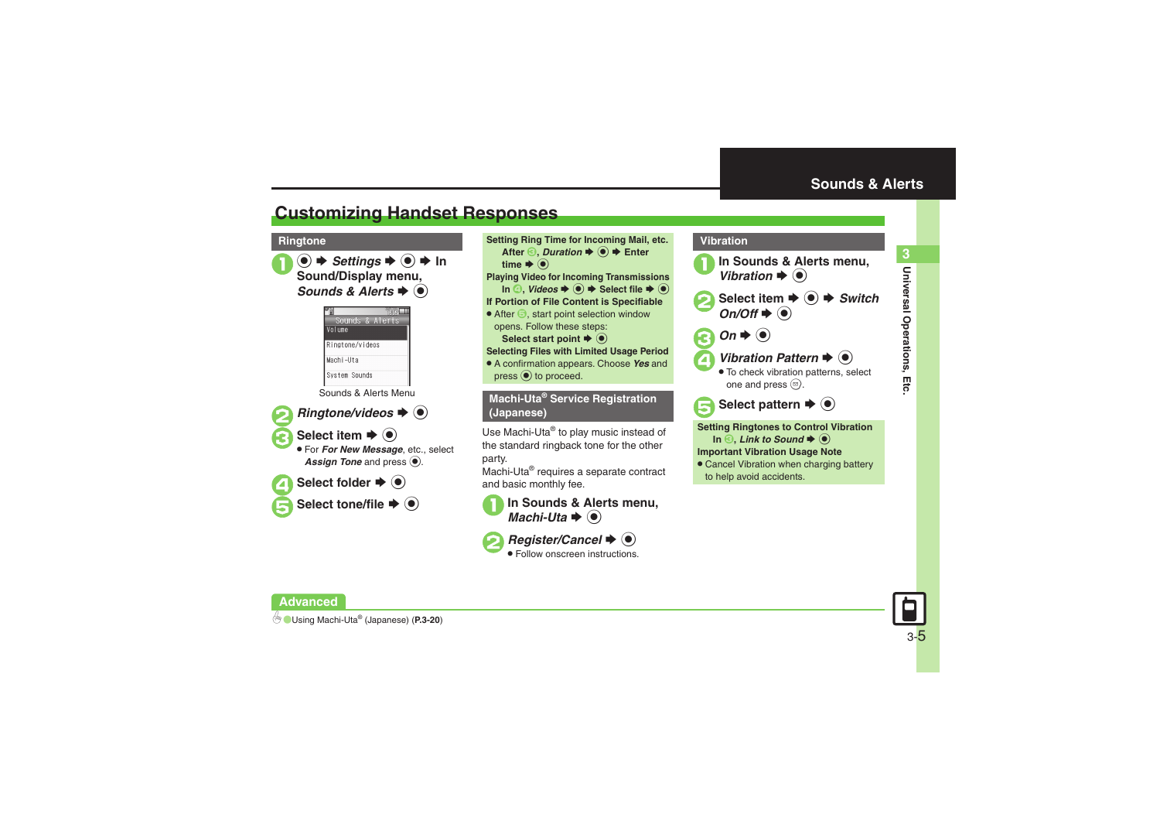## <span id="page-4-1"></span>**Customizing Handset Responses**

**●**  $\rightarrow$ *Settings* $\rightarrow$  **●**  $\rightarrow$  **In Sound/Display menu,** *Sounds & Alerts*  $\blacklozenge$ 



Sounds & Alerts Menu



*Ringtone/videos*  $\blacklozenge$   $\odot$ 

Select item  $\blacktriangleright$   $\odot$ 

 For *For New Message*, etc., select Assign Tone and press  $\odot$ .



**Select tone/file**  $\blacktriangleright$  **(** $\blacklozenge$ **)** 

**Ringtone Setting Ring Time for Incoming Mail, etc.** After  $\textcircled{\textbf{3}}$ , *Duration*  $\textup{\textbf{4}}$  ( $\textcircled{\textbf{6}}$ )  $\textup{\textbf{4}}$  Enter time  $\blacktriangleright$   $\textcircled{\scriptsize{\textcircled{\small{}}}}$ **Playing Video for Incoming Transmissions**  $\text{In} \textcircled{4}$ , *Videos*  $\Rightarrow$   $\textcircled{4}$   $\Rightarrow$  Select file  $\Rightarrow$   $\textcircled{6}$ **If Portion of File Content is Specifiable**  $\bullet$  After  $\bigcirc$ , start point selection window opens. Follow these steps: **Select start point**  $\blacklozenge$  $\textcircleddiamond}$ **Selecting Files with Limited Usage Period** . A confirmation appears. Choose *Yes* and  $pres \odot$  to proceed.

> **Machi-Uta® Service Registration (Japanese)**

Use Machi-Uta® to play music instead of the standard ringback tone for the other party.

Machi-Uta® requires a separate contract and basic monthly fee.





*Register/Cancel*  $\blacklozenge$   $\blacklozenge$ Follow onscreen instructions.

<span id="page-4-0"></span>

 $In \bigodot$ , *Link to Sound*  $\blacktriangleright$   $\bigodot$ 

**Important Vibration Usage Note**

**• Cancel Vibration when charging battery** to help avoid accidents.



**Universal Operations, Etc.**

Universal Operations, Etc

**3**

**Advanced**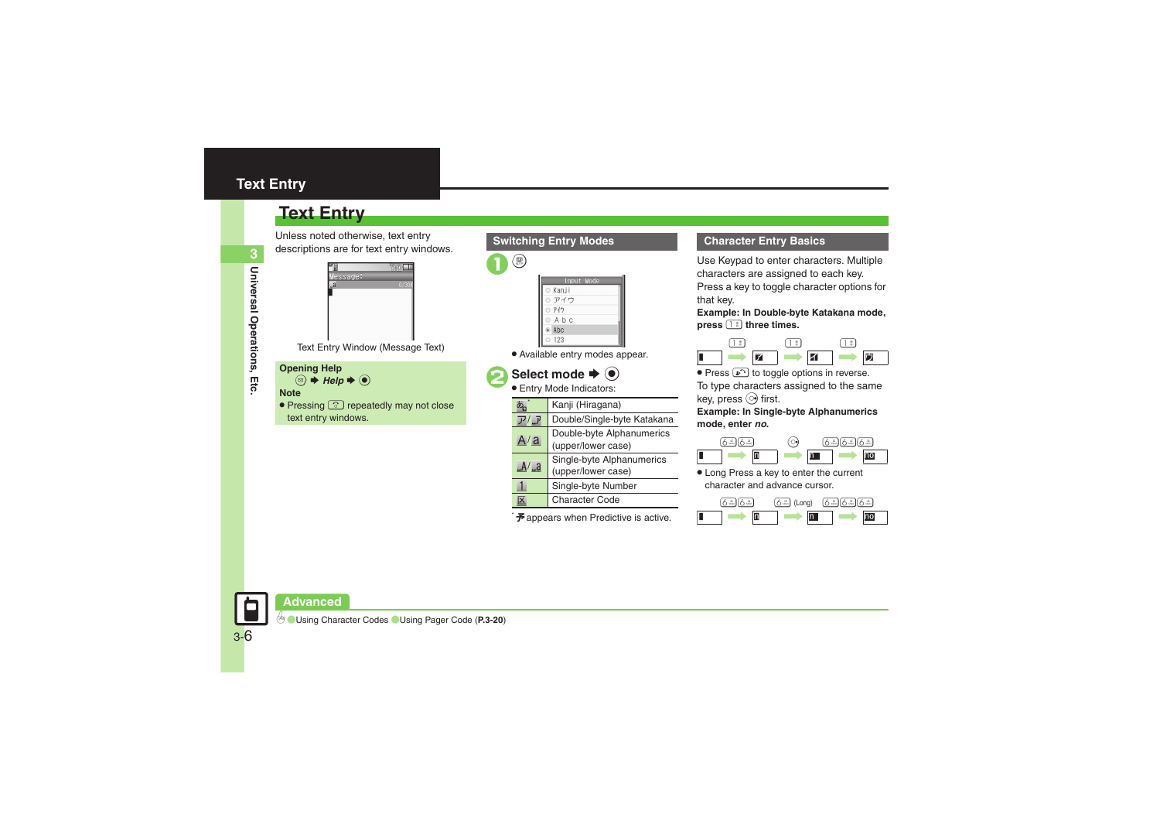## <span id="page-5-0"></span>**Text Entry**

## **Text Entry**

Unless noted otherwise, text entry descriptions are for text entry windows.



### **Note**

• Pressing  $\textcircled{S}$  repeatedly may not close text entry windows.

### **Switching Entry Modes**

 $\binom{1}{4}$ 

|   | Input Mode  |  |
|---|-------------|--|
|   | ⊙ Kanji     |  |
|   | ◎ アイウ       |  |
|   | ◎ アイウ       |  |
|   | $O$ A b $C$ |  |
|   | Abc         |  |
| ⋒ | 123         |  |

. Available entry modes appear.

## Select mode  $\blacktriangleright$  ( $\blacklozenge$ )

Entry Mode Indicators:

|            | Kanji (Hiragana)                                |
|------------|-------------------------------------------------|
|            | Double/Single-byte Katakana                     |
| A/a        | Double-byte Alphanumerics<br>(upper/lower case) |
| $A/\alpha$ | Single-byte Alphanumerics<br>(upper/lower case) |
|            | Single-byte Number                              |
| ۰X         | <b>Character Code</b>                           |

 $\mathcal F$  appears when Predictive is active.

### **Character Entry Basics**

Use Keypad to enter characters. Multiple characters are assigned to each key. Press a key to toggle character options for that key.

**Example: In Double-byte Katakana mode, press** 1 **three times.**



**Press**  $\bigcirc$  to toggle options in reverse. To type characters assigned to the same key, press  $\odot$  first.

**Example: In Single-byte Alphanumerics mode, enter** *no***.**

|  |  | u |  |
|--|--|---|--|
|  |  |   |  |

. Long Press a key to enter the current character and advance cursor.

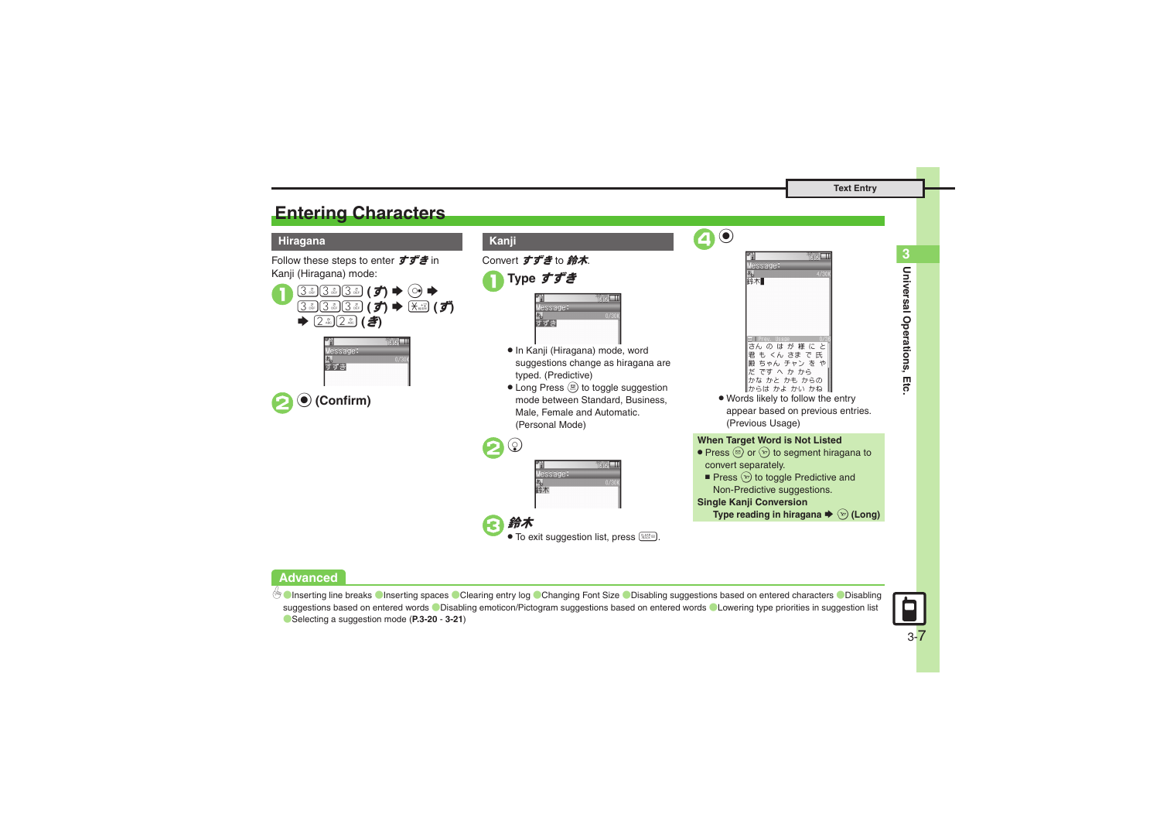## <span id="page-6-0"></span>**Entering Characters**

### **Hiragana Kanji**

Follow these steps to enter  $\vec{\sigma} \vec{\sigma}$  in Kanji (Hiragana) mode:







Convert すずき to 鈴木.

```
1Type すずき
```

| essage: |      |
|---------|------|
|         | 0/30 |
|         |      |

- . In Kanji (Hiragana) mode, word suggestions change as hiragana are typed. (Predictive)
- Long Press (!) to toggle suggestion mode between Standard, Business, Male, Female and Automatic. (Personal Mode)





• Words likely to follow the entry appear based on previous entries. (Previous Usage)

### **When Target Word is Not Listed**

- Press  $\circledcirc$  or  $\circledcirc$  to segment hiragana to convert separately.
- Press  $\circledcirc$  to toggle Predictive and Non-Predictive suggestions.

### **Single Kanji Conversion**

4 %

Type reading in hiragana ♦ ☜ (Long)

### **Advanced**

4 C[Inserting line breaks](#page-19-8) C[Inserting spaces](#page-19-9) C[Clearing entry log](#page-19-10) C[Changing Font Size](#page-19-11) C[Disabling suggestions based on entered characters](#page-20-0) CDisabling [suggestions based on entered words](#page-20-1) *OD*isabling emoticon/Pictogram suggestions based on entered words C[Lowering type priorities in suggestion list](#page-20-3) ([Selecting a suggestion mode](#page-20-4) (**[P.3-20](#page-19-8)** - **[3-21](#page-20-4)**)



**Universal Operations, Etc. 3**

Universal Operations, Etc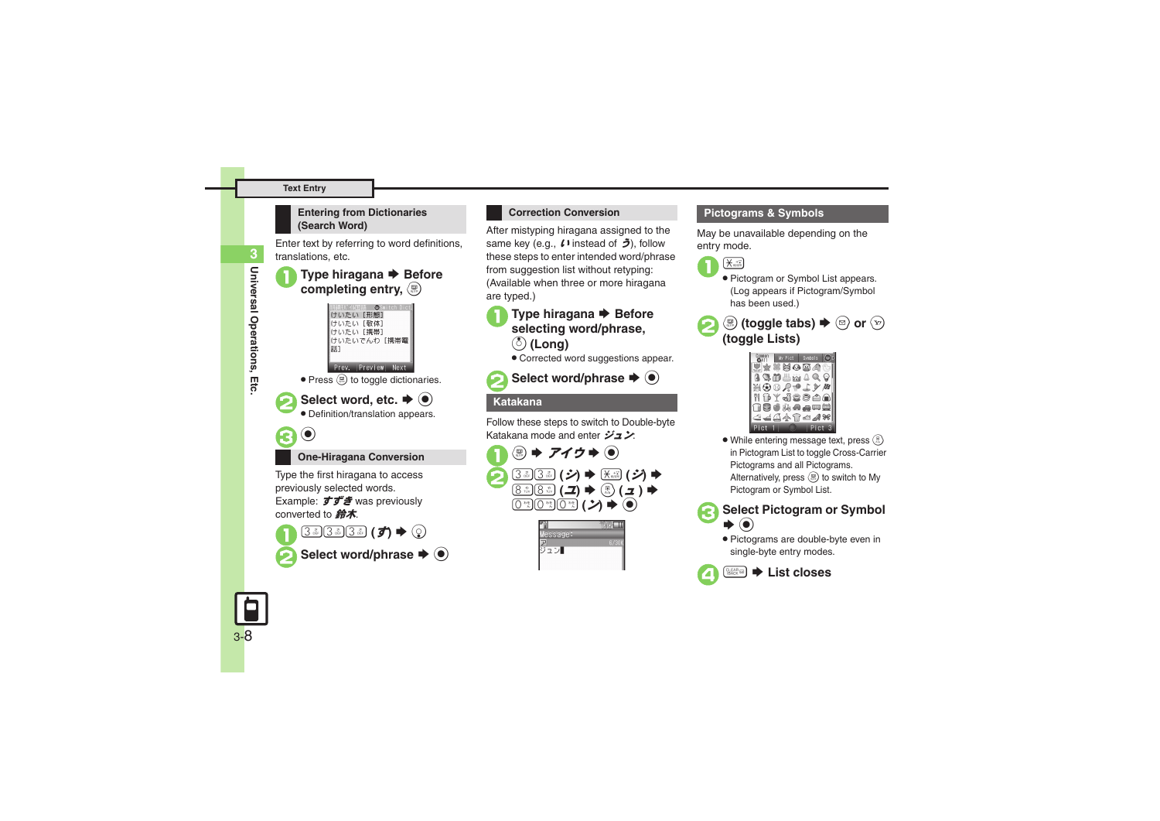### **Text Entry**

# **3**Universal Operations, Etc **Universal Operations, Etc.**

### **Entering from Dictionaries (Search Word)**

Enter text by referring to word definitions, translations, etc.

# **Type hiragana**  $\blacktriangleright$  **Before completing entry,**  $\binom{m}{n}$









### **One-Hiragana Conversion**

Type the first hiragana to access previously selected words. Example: すずき was previously converted to  $# \pi$ .



### **Correction Conversion**

After mistyping hiragana assigned to the same key (e.g.,  $\ell$ ) instead of  $\tilde{\ell}$ ), follow these steps to enter intended word/phrase from suggestion list without retyping: (Available when three or more hiragana are typed.)

## **Type hiragana → Before selecting word/phrase,** a **(Long)**

. Corrected word suggestions appear.



Select word/phrase  $\blacktriangleright$   $\bullet$ 

### **Katakana**

Follow these steps to switch to Double-byte Katakana mode and enter ジュン:



| ssage: |  |
|--------|--|
|        |  |
|        |  |
|        |  |
|        |  |

### **Pictograms & Symbols**

May be unavailable depending on the entry mode.



- Pictogram or Symbol List appears. (Log appears if Pictogram/Symbol has been used.)
- **②** (toggle tabs)  $\blacktriangleright$  **③** or **④**<br>(toggle Lists)

| My Pict           | Symbols |  |
|-------------------|---------|--|
| শ⊁≭RO®4€          |         |  |
| 33 M L M 8 Q 9    |         |  |
| ガののちゅてトロ          |         |  |
| 1 fit je saa      |         |  |
| ∩8●私会央口尝          |         |  |
| <b>ఆ⋥⋣</b> ⋪\$∞⊿₩ |         |  |
|                   |         |  |

. While entering message text, press  $\circledR$ in Pictogram List to toggle Cross-Carrier Pictograms and all Pictograms. Alternatively, press  $\circledR$  to switch to My Pictogram or Symbol List.



- **Select Pictogram or Symbol**
- . Pictograms are double-byte even in single-byte entry modes.



### 4\$S **List closes**

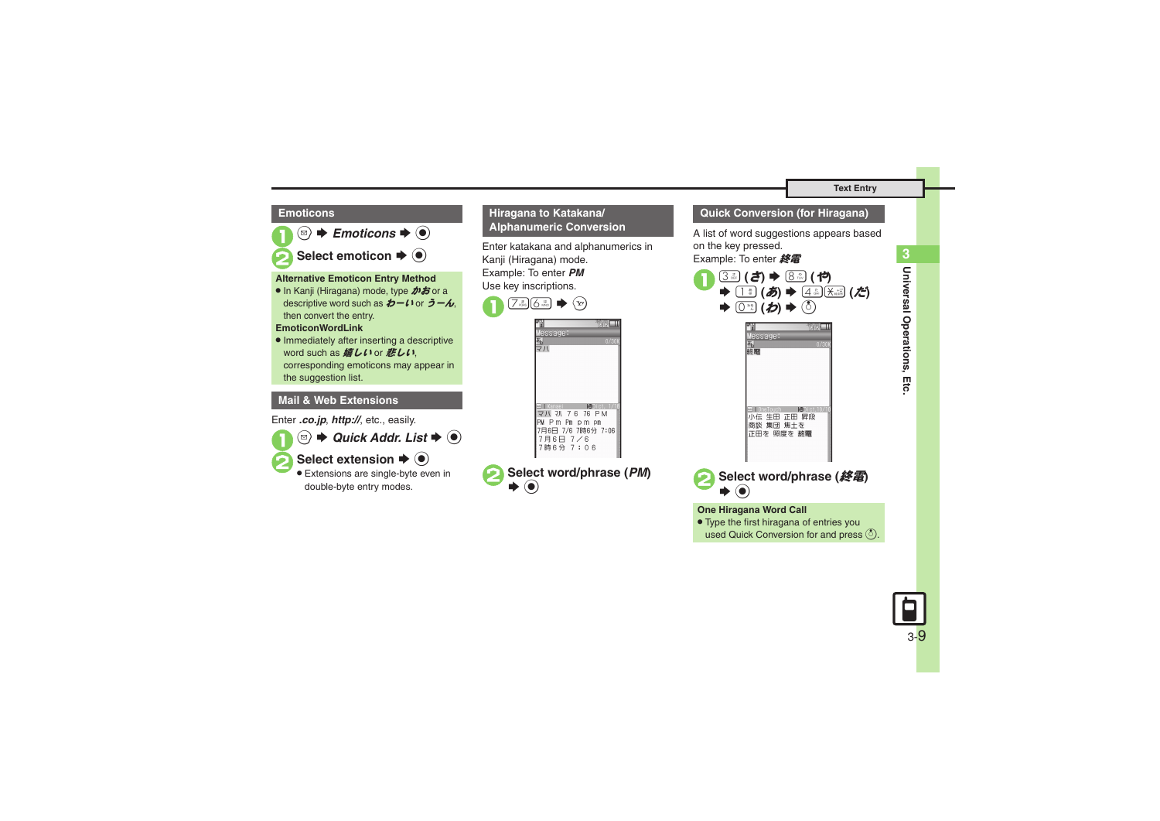### **Emoticons**



### **Alternative Emoticon Entry Method**

● In Kanji (Hiragana) mode, type **かお** or a descriptive word such as  $b - l$  or  $\bar{c} - \lambda$ , then convert the entry.

### **EmoticonWordLink**

. Immediately after inserting a descriptive word such as *嬉しい* or *悲しい*. corresponding emoticons may appear in the suggestion list.

### **Mail & Web Extensions**

Enter *.co.jp*, *http://*, etc., easily.

- 
- $\textcircled{\tiny{\textcircled{\tiny{\#}}}}$   $\blacktriangleleft$  Quick Addr. List  $\blacktriangleright$   $\textcircled{\tiny{\textcircled{\tiny{\#}}}}$



**Select extension**  $\blacktriangleright$  $\blacklozenge$ 

 Extensions are single-byte even in double-byte entry modes.

### **Hiragana to Katakana/ Alphanumeric Conversion**

Enter katakana and alphanumerics in Kanji (Hiragana) mode. Example: To enter *PM* Use key inscriptions.





### **Quick Conversion (for Hiragana)**

A list of word suggestions appears based on the key pressed.

Example: To enter 終電



### **One Hiragana Word Call**

- . Type the first hiragana of entries you
- used Quick Conversion for and press  $\binom{5}{2}$ .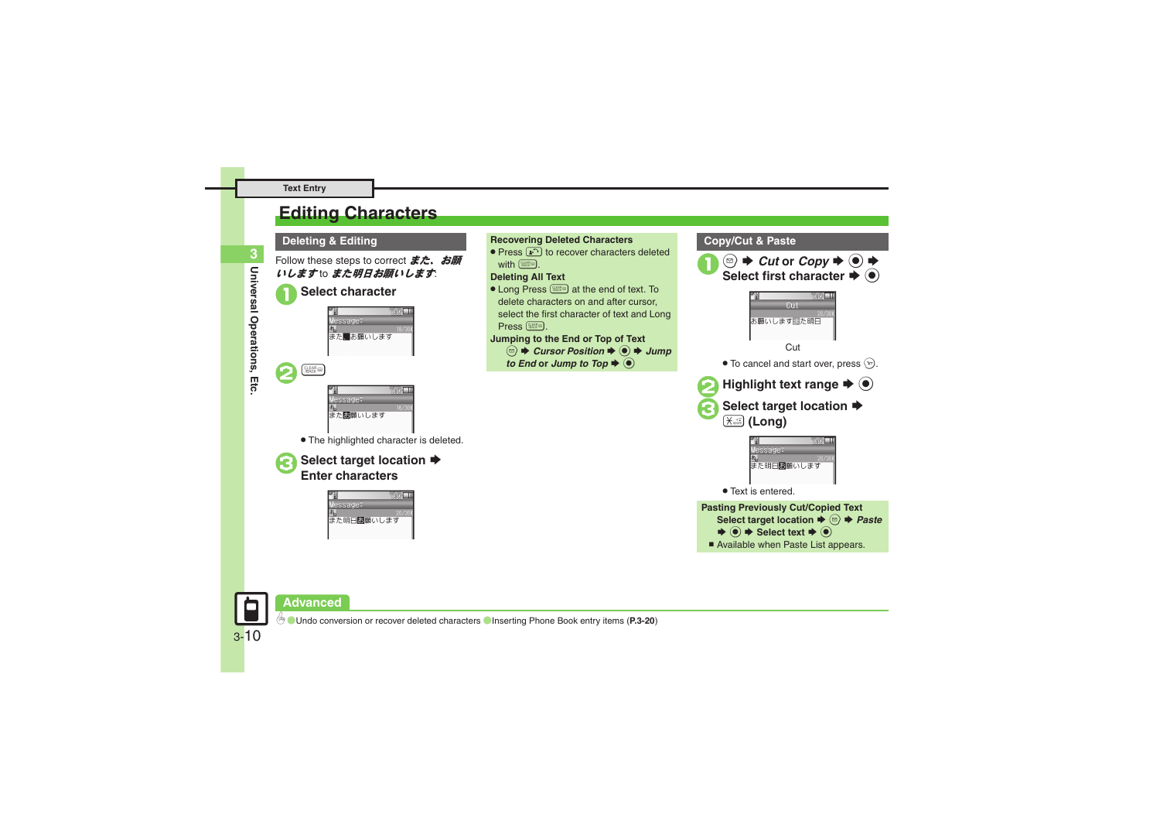## <span id="page-9-0"></span>**Editing Characters**

Follow these steps to correct  $\ddot{\mathbf{\mathcal{z}}}$ . お願



## $CLEAR$  $essaae:$ **また問題いします**

. The highlighted character is deleted.

# **Select target location ♦**<br>Enter characters

ënël II essage: また明日問題いします

### **Deleting & Editing Recovering Deleted Characters**

• Press  $\cdots$  to recover characters deleted with  $55$ 

### **Deleting All Text**

**.** Long Press **EXALCO** at the end of text. To delete characters on and after cursor, select the first character of text and Long  $Press$   $\sqrt{RMS}$ .

### **Jumping to the End or Top of Text**

- $\textcircled{a} \Rightarrow$  *Cursor Position*  $\Rightarrow$   $\textcircled{a} \Rightarrow$  *Jump*
- *to End* or *Jump to Top*  $\rightarrow$   $\odot$



 $\bullet$   $\bullet$  Select text  $\bullet$   $\bullet$ ■ Available when Paste List appears.

**Advanced**

3-10

0([Undo conversion or recover deleted characters](#page-19-12) ([Inserting Phone Book entry items](#page-19-13) (**[P.3-20](#page-19-12)**)

**3**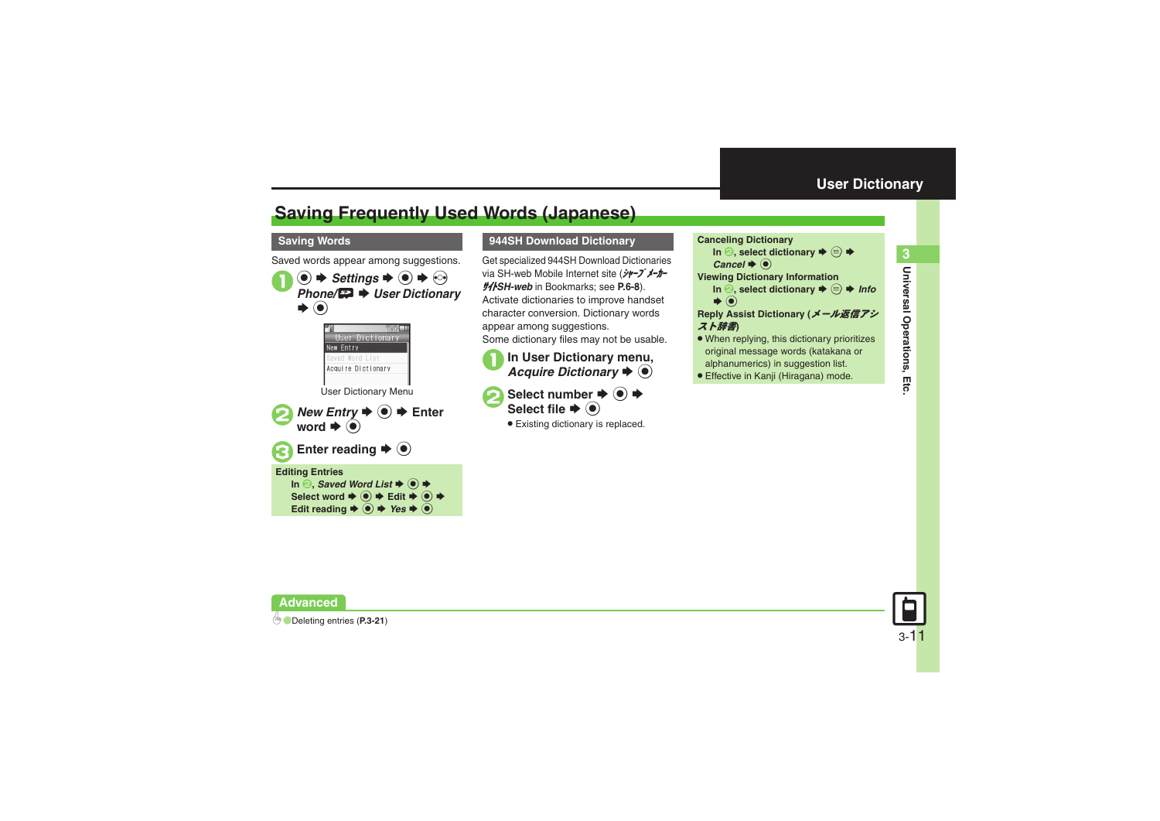## <span id="page-10-1"></span>**Saving Frequently Used Words (Japanese)**

### **Saving Words**

Saved words appear among suggestions.  $\mathbf 0$  $\circledcirc$   $\Rightarrow$  *Settings*  $\Rightarrow$   $\circledcirc$   $\Rightarrow$   $\circledcirc$ *Phone/*GS *User Dictionary*  $\odot$ SUser Dictionary New Entry Saved Word List Acquire Dictionary User Dictionary Menu **2** New Entry  $\blacktriangleright$  **Ⅰ**  $\blacktriangleright$  **■** Enter word  $\blacklozenge$ Enter reading  $\rightarrow$  <sup>O</sup> **Editing Entries** In <sup>**②, Saved Word List**  $\blacktriangleright$  **③**  $\blacktriangleright$ </sup> Select word  $\blacktriangleright$  **<b>O**  $\blacktriangleright$  Edit  $\blacktriangleright$  **<b>O**  $\blacktriangleright$ 

Edit reading  $\bigstar$   $\textcircled{\textbf{I}}$   $\star$  *Yes*  $\bigstar$   $\textcircled{\textbf{I}}$ 

### **944SH Download Dictionary Canceling Dictionary**

Get specialized 944SH Download Dictionaries via SH-web Mobile Internet site (ジャープ・メーカー サイト*SH-web* in Bookmarks; see **P.6-8**). Activate dictionaries to improve handset character conversion. Dictionary words appear among suggestions.

- Some dictionary files may not be usable.
- **1In User Dictionary menu,**<br>*Acquire Dictionary* ♦ ●

Select number  $\rightarrow$   $\odot$   $\rightarrow$ Select file  $\blacklozenge$ 

. Existing dictionary is replaced.

- <span id="page-10-0"></span>**In <sup>●</sup>, select dictionary**  $\blacklozenge$  **⊕**  $\blacklozenge$ *Cancel*  $\blacklozenge$  **① Viewing Dictionary Information In <sup>2</sup>, select dictionary**  $\blacklozenge$  **©**  $\blacktriangleright$ *Info*  $\blacktriangleright$   $\textcircled{\scriptsize{}}$ **Reply Assist Dictionary (**メール返信アシ
- スト辞書**)**
- . When replying, this dictionary prioritizes original message words (katakana or alphanumerics) in suggestion list.
- . Effective in Kanji (Hiragana) mode.



**Advanced**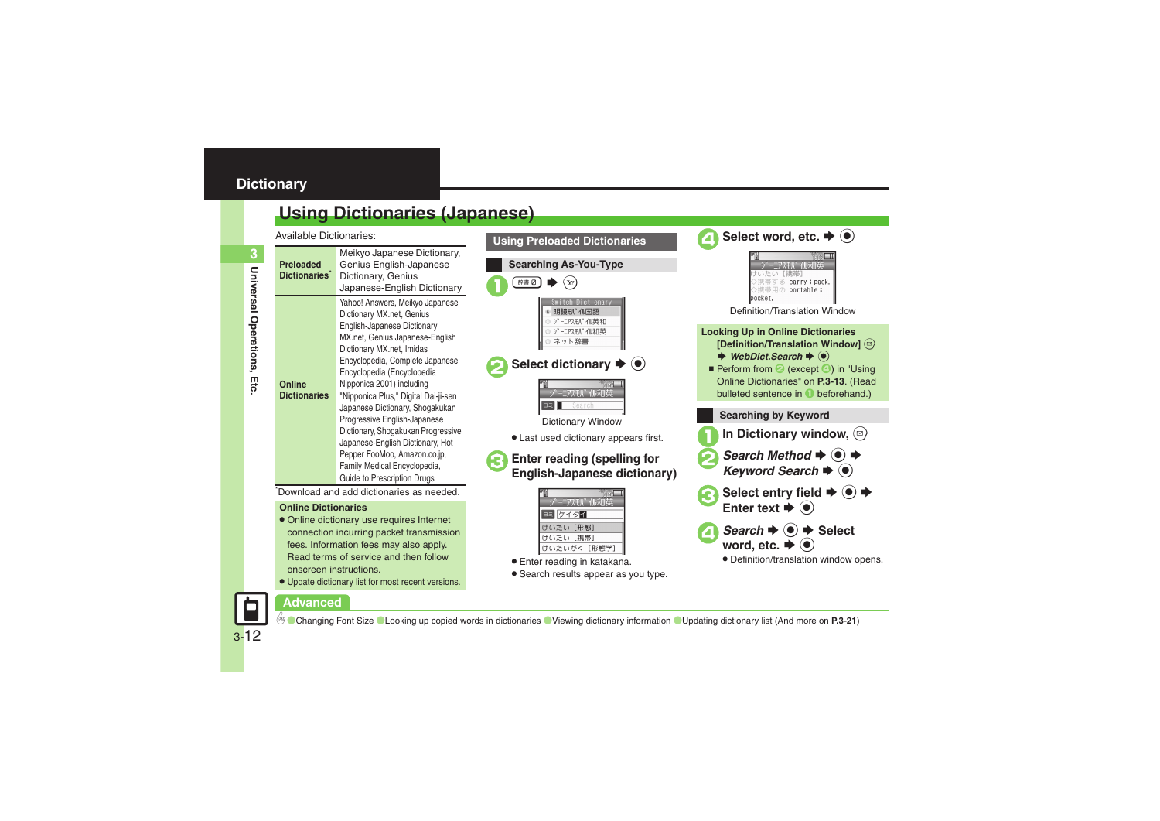## <span id="page-11-0"></span>**Dictionary**

## <span id="page-11-1"></span>**Using Dictionaries (Japanese)**

Available Dictionaries:

| Available Dictionanes.                        |                                                                                                                                                                                                                                                                                                                                                                                                                                                                                                                                               | <b>Using Preloaded Dicti</b>                                                                                                                                                                                                     |
|-----------------------------------------------|-----------------------------------------------------------------------------------------------------------------------------------------------------------------------------------------------------------------------------------------------------------------------------------------------------------------------------------------------------------------------------------------------------------------------------------------------------------------------------------------------------------------------------------------------|----------------------------------------------------------------------------------------------------------------------------------------------------------------------------------------------------------------------------------|
| <b>Preloaded</b><br>Dictionaries <sup>®</sup> | Meikyo Japanese Dictionary,<br>Genius English-Japanese<br>Dictionary, Genius<br>Japanese-English Dictionary                                                                                                                                                                                                                                                                                                                                                                                                                                   | <b>Searching As-You-T</b><br>辞書 Ø                                                                                                                                                                                                |
| Online<br><b>Dictionaries</b>                 | Yahoo! Answers, Meikyo Japanese<br>Dictionary MX.net, Genius<br>English-Japanese Dictionary<br>MX.net, Genius Japanese-English<br>Dictionary MX.net, Imidas<br>Encyclopedia, Complete Japanese<br>Encyclopedia (Encyclopedia<br>Nipponica 2001) including<br>"Nipponica Plus," Digital Dai-ji-sen<br>Japanese Dictionary, Shogakukan<br>Progressive English-Japanese<br>Dictionary, Shogakukan Progressive<br>Japanese-English Dictionary, Hot<br>Pepper FooMoo, Amazon.co.jp,<br>Family Medical Encyclopedia,<br>Guide to Prescription Drugs | Dictional<br>明鏡モバイル国語<br>"-=アスモハ" イル英和<br>ーニアスモバ イル和英<br>ネット辞書<br>Select dictionary<br>王八" イル禾口<br>Search<br><b>BE</b><br><b>Dictionary Wind</b><br>• Last used dictionary<br><b>Enter reading (sp</b><br><b>English-Japanes</b> |
|                                               |                                                                                                                                                                                                                                                                                                                                                                                                                                                                                                                                               |                                                                                                                                                                                                                                  |

Download and add dictionaries as needed.

### **Online Dictionaries**

- . Online dictionary use requires Internet connection incurring packet transmission fees. Information fees may also apply. Read terms of service and then follow onscreen instructions.
- . Update dictionary list for most recent versions.



## tionary  $\blacklozenge$   $\textcircled{\scriptsize\bullet}$



### ary Window

ictionary appears first.

# ling (spelling for<br>**apanese dictionary**)



- . Enter reading in katakana.
- . Search results appear as you type.



## **Advanced**

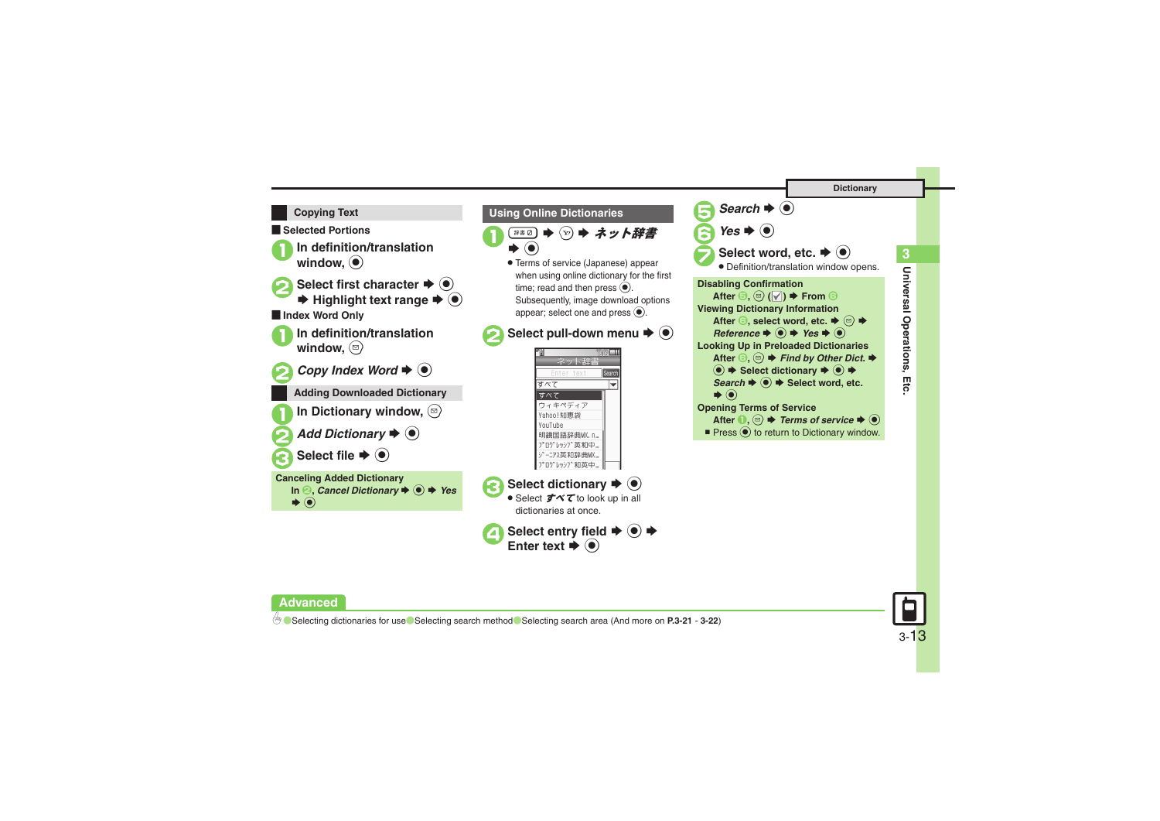### **Copying Text**

[ **Selected Portions**

In definition/translation<br>window,  $\bigcirc$ 

**Select first character**  $\Rightarrow$  **ⓒ**<br> $\Rightarrow$  **Highlight text range**  $\Rightarrow$  **ⓒ** [ **Index Word Only**

In definition/translation<br>window, <sup>2</sup>



*Copy Index Word*  $\blacktriangleright$   $\odot$ 



In Dictionary window,  $\textcircled{2}$ 

Add Dictionary  $\blacktriangleright$   $\odot$ 

Select file  $\blacktriangleright$   $\textcircled{\scriptsize{\bullet}}$ 





 $\blacktriangleright$   $\textcircled{\scriptsize{}}$ 

 $\widehat{S_{\text{2D}}}$   $\blacktriangleright$  ネット辞書

. Terms of service (Japanese) appear when using online dictionary for the first time: read and then press  $\odot$ . Subsequently, image download options appear: select one and press  $\textcircled{\bullet}$ .

<span id="page-12-0"></span>**Using Online Dictionaries**

4**Select entry field** <sup>S</sup> % <sup>S</sup> **Enter text** <sup>S</sup>Enter text  $\blacktriangleright$  ( $\blacklozenge$ )









0([Selecting dictionaries for use](#page-20-10)([Selecting search method](#page-21-0)([Selecting search area](#page-21-1) (And more on **[P.3-21](#page-20-6)** - **[3-22](#page-21-1)**)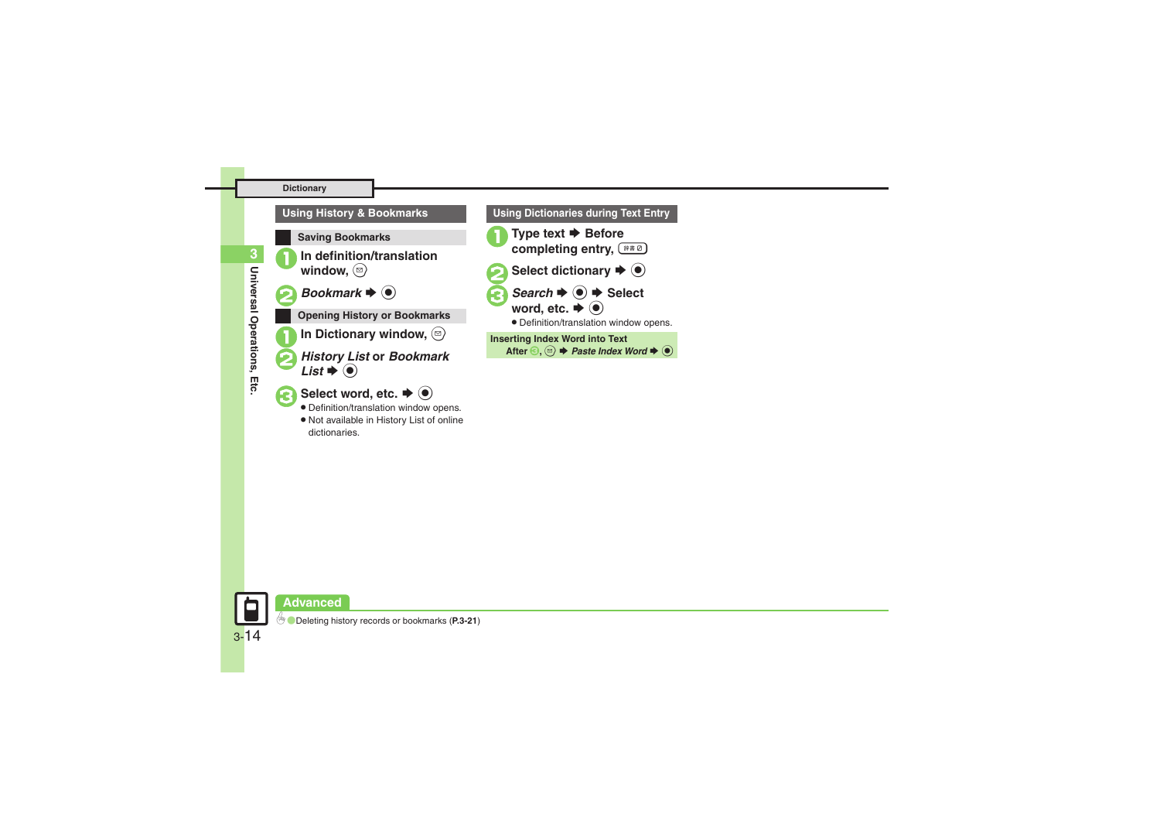## In definition/translation<br>window, **D**  $Bookmark \blacktriangleright @$ **Using History & Bookmarks Saving Bookmarks Opening History or Bookmarks**

In Dictionary window,  $\circledcirc$ 

### **History List or Bookmark**  $t \blacktriangleright @$

- Select word, etc.  $\blacktriangleright$   $\odot$
- Definition/translation window opens.
- . Not available in History List of online dictionaries.





**Universal Operations, Etc.**

Universal Operations, Etc

**3**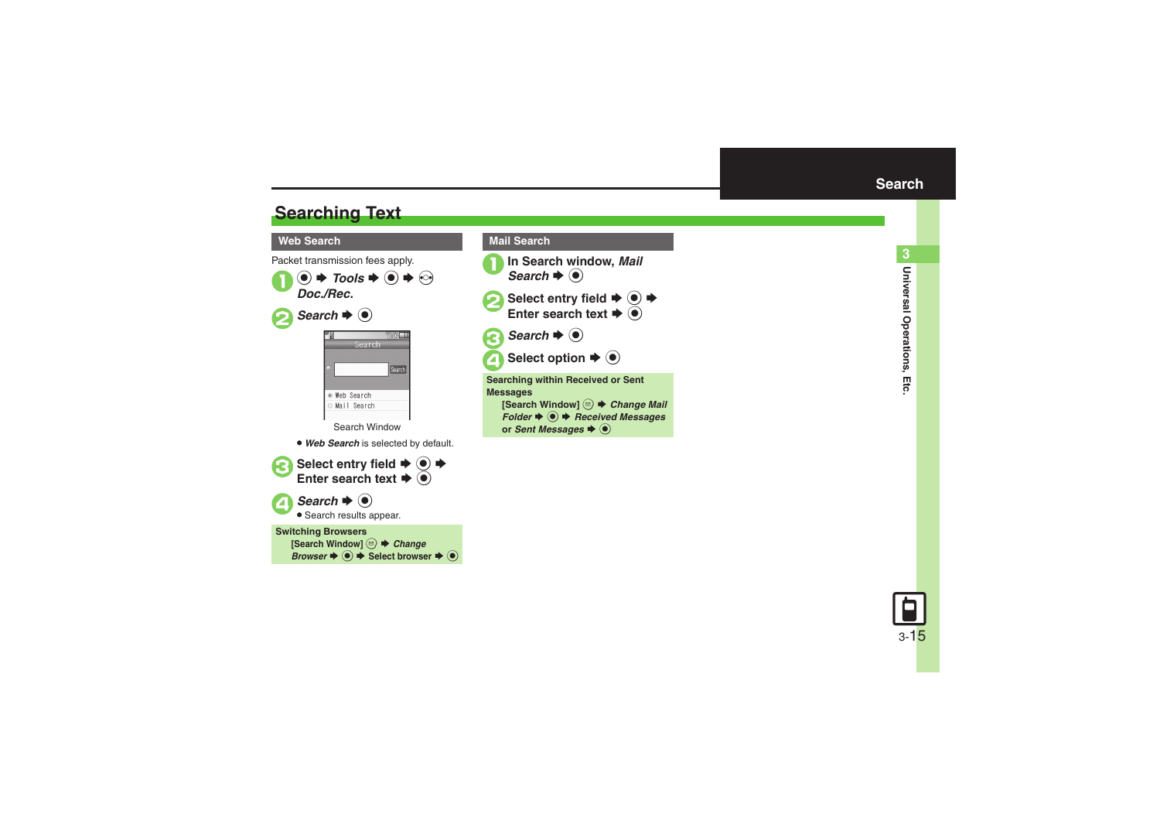## <span id="page-14-1"></span>**Searching Text**

### **Web Search**

Packet transmission fees apply.



Select entry field  $\rightarrow$  <sup>•</sup> Enter search text  $\blacktriangleright$  **O 4** Search  $\rightarrow$  ●

**• Search results appear.** 

### **Switching Browsers**

[Search Window] <sup>**<b> e** *Change*</sup> *Browser*  $\blacklozenge$   $\blacklozenge$  Select browser  $\blacktriangleright$  <sup>●</sup>

<span id="page-14-0"></span>

or *Sent Messages*  $\blacklozenge$ 

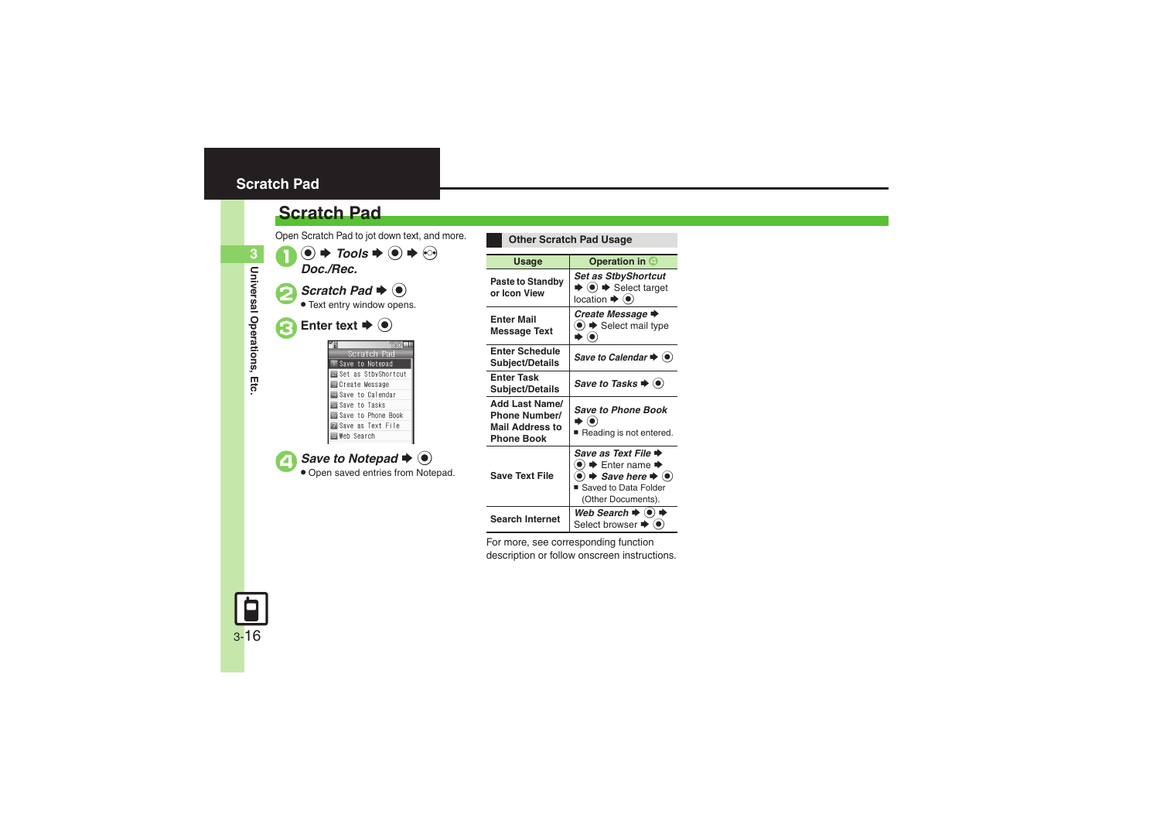## <span id="page-15-0"></span>**Scratch Pad**

## **Scratch Pad**

Open Scratch Pad to jot down text, and more.



**Other Scratch Pad Usage** Usage **Deparation in 4 Paste to Standby or Icon View***Set as StbyShortcut*  $\blacktriangleright$   $\textcircled{\scriptsize{*}}$  Select target location  $\blacktriangleright$   $\textcircled{\scriptsize{\textcircled{\small{}}}}$ **Enter Mail Message Text** *Create Message*  $\odot$   $\blacktriangleright$  Select mail type  $\bullet$   $\bullet$ **Enter Schedule Subject/Details** Save to Calendar **→ ● Enter Task Subject/Details** Save to Tasks ♦ **③ Add Last Name/Phone Number/Mail Address to Phone Book***Save to Phone Book* $\bullet$   $\textcolor{red}{\bullet}$ ■ Reading is not entered. **Save Text File***Save as Text File*  $\blacklozenge$  $\odot \blacklozenge$  Enter name  $\blacklozenge$  $\bullet$   $\bullet$  *Save here*  $\bullet$   $\bullet$ ■ Saved to Data Folder (Other Documents). **Search Internet***Web Search*  $\Rightarrow$   $\circledcirc$   $\Rightarrow$ Select browser  $\blacklozenge$ 

For more, see corresponding function description or follow onscreen instructions.

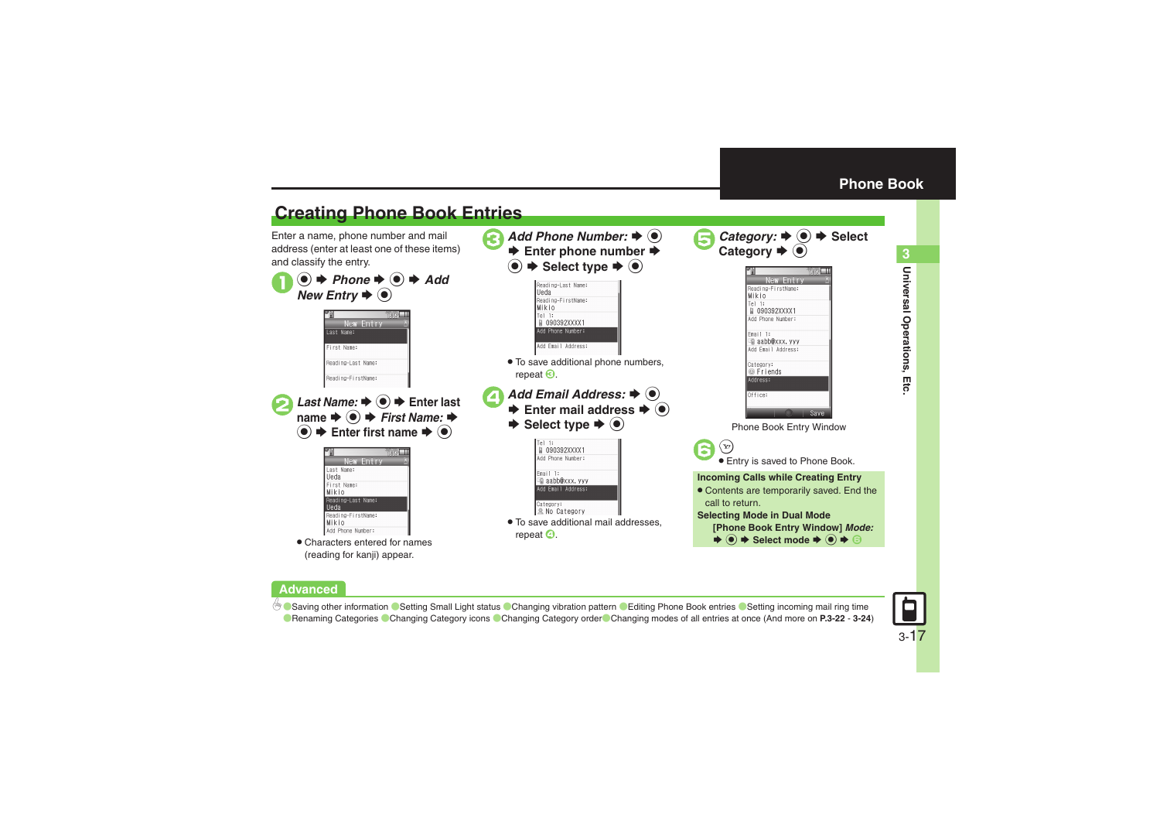**Universal Operations, Etc. 3**

Universal Operations, Etc

<span id="page-16-0"></span>3

## <span id="page-16-1"></span>**Creating Phone Book Entries**

Enter a name, phone number and mail address (enter at least one of these items) and classify the entry.





### **Advanced**

b C[Saving other information](#page-21-2) C[Setting Small Light status](#page-22-0) [Changing vibration pattern](#page-22-1) C[Editing Phone Book entries](#page-22-2) CSetting incoming mail ring time **C** [Renaming Categories](#page-22-4) [Changing Category icons](#page-22-5) [Changing Category order](#page-22-6) [Changing modes of all entries at once](#page-23-0) (And more on **[P.3-22](#page-21-2) - [3-24](#page-23-0)**)

3-17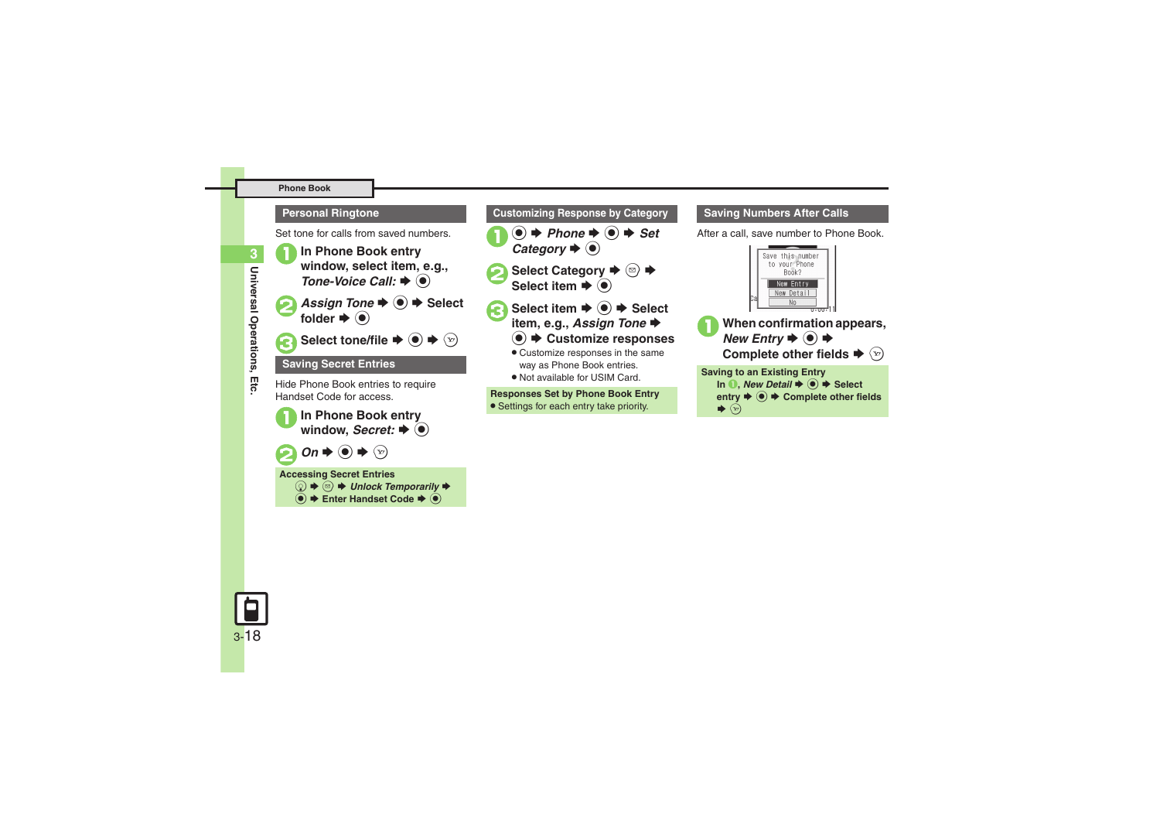### **Phone Book**

### **Personal Ringtone**

Set tone for calls from saved numbers.



<sup>1</sup>**In Phone Book entry window, select item, e.g.,**  *Tone-Voice Call:* S % *Assign Tone*  $\rightarrow$  ● → Select folder  $\blacktriangleright$  ( $\blacklozenge$ ) Select tone/file  $\blacktriangleright$   $\textcircled{\scriptsize{\bullet}}$   $\blacktriangleright$   $\textcircled{\scriptsize{\circ}}$ 

### **Saving Secret Entries**

Hide Phone Book entries to require Handset Code for access.



### **Accessing Secret Entries**

 $\textcircled{a} \Rightarrow \textcircled{B}$   $\Rightarrow$  Unlock Temporarily  $\Rightarrow$ **(●)**  $\blacktriangleright$  **Enter Handset Code**  $\blacktriangleright$  **(●)** 

## **Customizing Response by Category**



- **Select Category**  $\blacktriangleright$  **<b>■** Select item  $\blacktriangleright$  ( $\blacklozenge$ )
	- Select item  $\bigoplus$   $\bigoplus$   $\bigoplus$  Select item, e.g., *Assign Tone*  $\bigoplus$ 
		- **(●)**  $\blacktriangleright$  **Customize responses**
		- . Customize responses in the same way as Phone Book entries.
		- . Not available for USIM Card.

### **Responses Set by Phone Book Entry**

**• Settings for each entry take priority.** 

### **Saving Numbers After Calls**

After a call, save number to Phone Book.





 $\blacktriangleright$   $\odot$ 

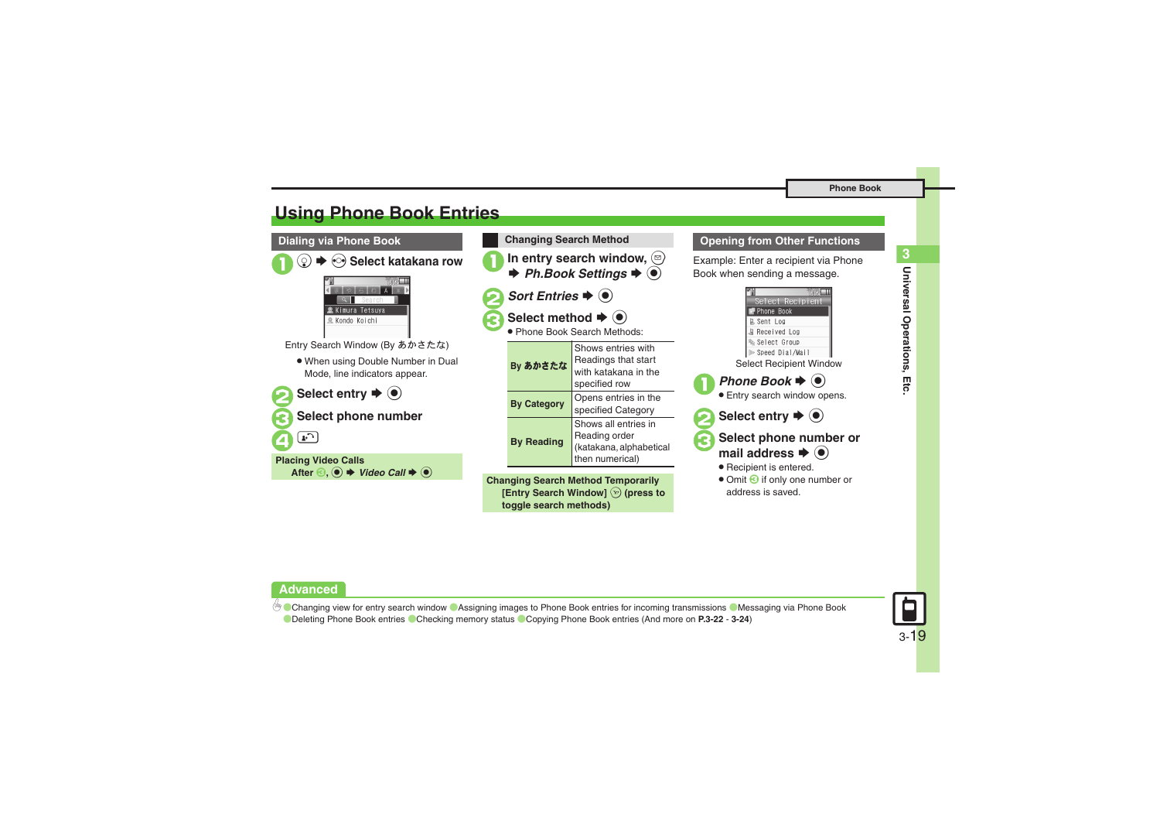## <span id="page-18-0"></span>**Using Phone Book Entries**



**Advanced**

**[Changing view for entry search window](#page-21-3) C[Assigning images to Phone Book entries for incoming transmissions](#page-21-4) C[Messaging via Phone Book](#page-22-7)** ([Deleting Phone Book entries](#page-23-1) ([Checking memory status](#page-23-2) ([Copying Phone Book entries](#page-23-3) (And more on **[P.3-22](#page-21-3)** - **[3-24](#page-23-4)**)

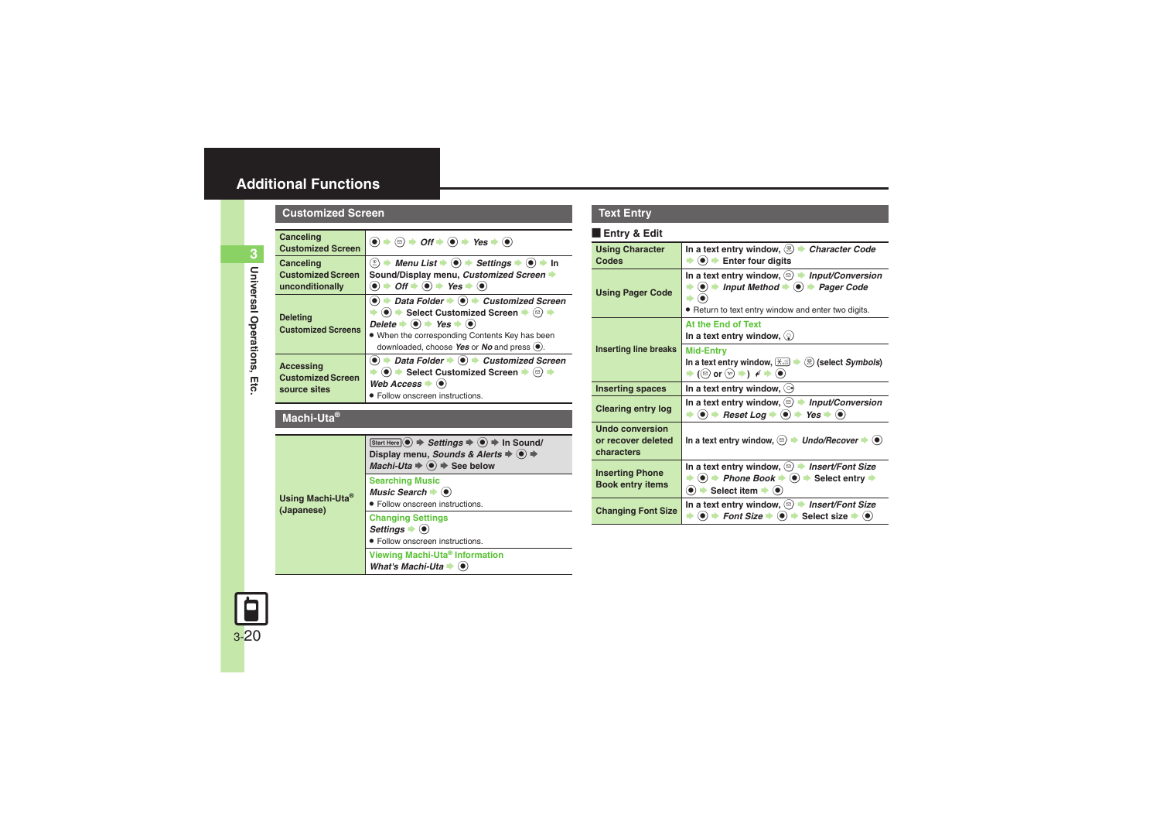## <span id="page-19-0"></span>**Additional Functions**

**Customized Screen**

<span id="page-19-1"></span>

| Canceling<br>$\left( \bullet \right) \bullet \left( \circ \right) \bullet \mathit{Off} \bullet \left( \bullet \right) \bullet \mathit{Yes} \bullet \left( \bullet \right)$                                                                                                                                                                                                                                                                  |  |  |
|---------------------------------------------------------------------------------------------------------------------------------------------------------------------------------------------------------------------------------------------------------------------------------------------------------------------------------------------------------------------------------------------------------------------------------------------|--|--|
| <b>Customized Screen</b>                                                                                                                                                                                                                                                                                                                                                                                                                    |  |  |
| $\binom{m}{k}$ $\rightarrow$ <i>Menu List</i> $\rightarrow$ ( $\bullet$ ) $\rightarrow$ <i>Settings</i> $\rightarrow$ ( $\bullet$ ) $\rightarrow$ In<br>Canceling<br><b>Customized Screen</b><br>Sound/Display menu, Customized Screen<br>$\bullet$ $\Rightarrow$ Off $\Rightarrow$ $\bullet$ Yes $\Rightarrow$ $\bullet$<br>unconditionally                                                                                                |  |  |
| $\bullet$ $\Rightarrow$ Data Folder $\Rightarrow$ $\bullet$ $\Rightarrow$ Customized Screen<br>$\bullet$ $\bullet$ Select Customized Screen $\bullet$ $\circ$ $\bullet$<br><b>Deleting</b><br>Delete $\blacktriangleright$ ( $\blacklozenge$ ) $\blacktriangleright$ Yes $\blacktriangleright$ ( $\blacklozenge$ )<br><b>Customized Screens</b><br>. When the corresponding Contents Key has been<br>downloaded, choose Yes or No and press |  |  |
| $\textcircled{\textbullet}$ $\Rightarrow$ Data Folder $\Rightarrow$ $\textcircled{\textbullet}$ $\Rightarrow$ Customized Screen<br><b>Accessing</b><br>$\Rightarrow$ (0) $\Rightarrow$ Select Customized Screen $\Rightarrow$ (2) $\Rightarrow$<br><b>Customized Screen</b><br>Web Access $\blacktriangleright$ ( $\blacklozenge$ )<br>source sites<br>• Follow onscreen instructions.                                                      |  |  |
| Machi-Uta®                                                                                                                                                                                                                                                                                                                                                                                                                                  |  |  |
| Start Here $\textcircled{\bullet} \Rightarrow$ Settings $\Rightarrow$ $\textcircled{\bullet} \Rightarrow$ In Sound/<br>Display menu, Sounds & Alerts $\Rightarrow$ $\circledast$ $\Rightarrow$<br>Machi-Uta $\Rightarrow$ $\circledast$ $\Rightarrow$ See below                                                                                                                                                                             |  |  |
| <b>Searching Music</b><br>Music Search $\bullet$ $\bullet$<br>Using Machi-Uta <sup>®</sup><br>• Follow onscreen instructions.<br>(Japanese)                                                                                                                                                                                                                                                                                                 |  |  |
|                                                                                                                                                                                                                                                                                                                                                                                                                                             |  |  |

### <span id="page-19-11"></span>**Viewing Machi-Uta® Information**

*What's Machi-Uta*  $\bullet$   $\textcircled{\small{\bullet}}$ 

### **Text Entry**

### [ **Entry & Edit**

<span id="page-19-13"></span><span id="page-19-12"></span><span id="page-19-10"></span><span id="page-19-9"></span><span id="page-19-8"></span><span id="page-19-7"></span><span id="page-19-6"></span>

| <b>Using Character</b><br>Codes                            | In a text entry window, $\langle \mathbb{B} \rangle$ $\blacktriangleright$<br><b>Character Code</b><br>$\bullet$ ( $\bullet$ ) $\bullet$ Enter four digits                                                                                                                                       |
|------------------------------------------------------------|--------------------------------------------------------------------------------------------------------------------------------------------------------------------------------------------------------------------------------------------------------------------------------------------------|
| <b>Using Pager Code</b>                                    | In a text entry window, $\langle \mathbf{z} \rangle$ $\blacktriangleright$<br><b>Input/Conversion</b><br>$\bullet$ $\bullet$<br>Input Method $\blacktriangleright$ ( $\blacklozenge$ )<br><b>Pager Code</b><br>. Return to text entry window and enter two digits.                               |
|                                                            | At the End of Text<br>In a text entry window, $\mathcal{Q}$                                                                                                                                                                                                                                      |
| <b>Inserting line breaks</b>                               | <b>Mid-Entry</b><br>In a text entry window, $\left(\frac{1}{2}, \frac{1}{2}\right)$<br>$\mathbb{D}$ (select Symbols)<br>$\blacktriangleright$ (( $\text{e}$ ) or $\text{e}$ ) $\blacktriangleright$ ( $\blacktriangleright$ ) $\blacktriangleleft \blacktriangleright$ ( $\blacktriangleright$ ) |
| <b>Inserting spaces</b>                                    | In a text entry window, $\circledcirc$                                                                                                                                                                                                                                                           |
| <b>Clearing entry log</b>                                  | <b>Input/Conversion</b><br>In a text entry window, $\langle \mathcal{D} \rangle$<br>$\left( \bullet\right)$ $\blacktriangleright$<br>Reset Log $\blacktriangleright$ ( $\blacklozenge$ ) $\blacktriangleright$<br>$Yes \rightarrow (•)$                                                          |
| <b>Undo conversion</b><br>or recover deleted<br>characters | In a text entry window, $\textcircled{=}$ Undo/Recover $\blacktriangleright$ ( $\bullet$ )                                                                                                                                                                                                       |
| <b>Inserting Phone</b><br><b>Book entry items</b>          | In a text entry window, $\textcircled{a}$ > Insert/Font Size<br>$\langle \bullet \rangle$ $\Rightarrow$ Phone Book $\Rightarrow$ $\langle \bullet \rangle$ $\Rightarrow$ Select entry $\Rightarrow$<br>$\bullet$ $\bullet$ Select item $\bullet$ $\bullet$                                       |
| <b>Changing Font Size</b>                                  | In a text entry window, $\textcircled{a}$ $\rightarrow$ Insert/Font Size<br>$\langle \bullet \rangle$ $\Rightarrow$ Font Size $\Rightarrow$ $\langle \bullet \rangle$ $\Rightarrow$ Select size $\Rightarrow$ $\langle \bullet \rangle$                                                          |

<span id="page-19-5"></span><span id="page-19-4"></span>

<span id="page-19-3"></span><span id="page-19-2"></span>**3**Universal Operations, Etc. **Universal Operations, Etc.**

10 3-20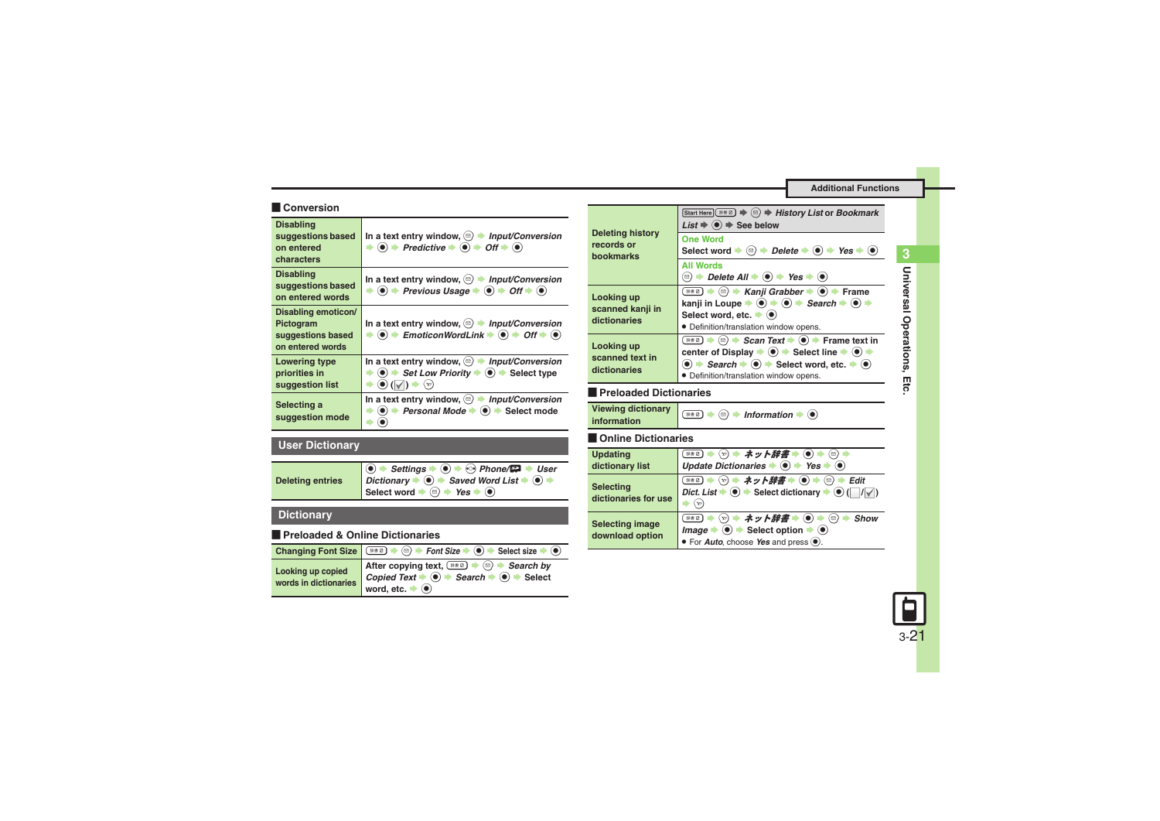### **Additional Functions**

### [ **Conversion**

<span id="page-20-2"></span><span id="page-20-1"></span><span id="page-20-0"></span>

| <b>Disabling</b><br>suggestions based<br>on entered<br>characters         | In a text entry window, $\textcircled{a}$ > Input/Conversion<br>$\textcircled{\textcircled{\textcirc}}$ $\Rightarrow$ Predictive $\Rightarrow$ $\textcircled{\textcircled{\textcirc}}}$ $\Rightarrow$ Off $\Rightarrow$ $\textcircled{\textcircled{\textcirc}}$                                   |
|---------------------------------------------------------------------------|---------------------------------------------------------------------------------------------------------------------------------------------------------------------------------------------------------------------------------------------------------------------------------------------------|
| <b>Disabling</b><br>suggestions based<br>on entered words                 | In a text entry window, $\textcircled{a}$ > Input/Conversion<br>$\Rightarrow$ (0) $\Rightarrow$ Previous Usage $\Rightarrow$ (0) $\Rightarrow$ Off $\Rightarrow$ (0)                                                                                                                              |
| Disabling emoticon/<br>Pictogram<br>suggestions based<br>on entered words | In a text entry window, $\textcircled{a}$ > Input/Conversion<br>$\textcircled{\textcircled{\textcirc}}$ $\textup{H}$ EmoticonWordLink $\textup{\textcircled{\textcircled{\textcirc}}}$ $\textcircled{\textcircled{\textcirc}}}$ $\textup{H}$ $\textup{H}$ $\textcircled{\textcircled{\textcirc}}$ |
| <b>Lowering type</b><br>priorities in<br>suggestion list                  | In a text entry window, $\textcircled{a}$ > Input/Conversion<br>$\textcircled{\textcircled{\textcirc}}$ $\Rightarrow$ Set Low Priority $\Rightarrow$ $\textcircled{\textcircled{\textcircled{\textcirc}}}$ Select type<br>(●) (√<br>$(\mathbf{v})$                                                |
| Selecting a<br>suggestion mode                                            | In a text entry window, $\textcircled{a}$ > Input/Conversion<br>Personal Mode →<br>$\bullet$ $\bullet$ Select mode                                                                                                                                                                                |

## <span id="page-20-4"></span><span id="page-20-3"></span>**User Dictionary**

<span id="page-20-5"></span>

| <b>Deleting entries</b> | $\bigcirc$ $\rightarrow$ Settings $\rightarrow$ $\bigcirc$ $\rightarrow$ $\bigcirc$ Phone/ $\bigcirc$ $\rightarrow$ User<br>Dictionary $\Rightarrow$ Saved Word List $\Rightarrow$ $\circ$ $\Rightarrow$ |
|-------------------------|----------------------------------------------------------------------------------------------------------------------------------------------------------------------------------------------------------|
|                         | Select word $\Rightarrow$ $\circledcirc$ $\Rightarrow$ Yes $\Rightarrow$ $\circledcirc$                                                                                                                  |

## **Dictionary**

### [ **Preloaded & Online Dictionaries**

<span id="page-20-7"></span><span id="page-20-6"></span>

|                                            | Changing Font Size $\bullet \circledast$ $\bullet$ Font Size $\bullet \circledast$ Select size $\bullet \circledast$                                                                         |
|--------------------------------------------|----------------------------------------------------------------------------------------------------------------------------------------------------------------------------------------------|
| Looking up copied<br>words in dictionaries | After copying text, $\circledast$ $\bullet$ $\circledast$ Search by<br>Copied Text $\rightarrow$ 0 $\rightarrow$ Search $\rightarrow$ 0 $\rightarrow$ Select<br>word, etc. $\bullet$ $\odot$ |

<span id="page-20-11"></span><span id="page-20-10"></span><span id="page-20-9"></span><span id="page-20-8"></span>

| <b>Deleting history</b><br>records or<br><b>hookmarks</b> | Start Here ( 2 → 3 → History List or Bookmark<br>$List \Rightarrow ( \bullet ) \Rightarrow$ See below                                                                                                                                                                                                                                                                                                                                       |
|-----------------------------------------------------------|---------------------------------------------------------------------------------------------------------------------------------------------------------------------------------------------------------------------------------------------------------------------------------------------------------------------------------------------------------------------------------------------------------------------------------------------|
|                                                           | <b>One Word</b><br>Select word $\blacktriangleright \textcircled{\scriptsize{\circ}}$ $\blacktriangleright$ Delete $\blacktriangleright \textcircled{\scriptsize{\circ}}$ $\blacktriangleright$ Yes $\blacktriangleright \textcircled{\scriptsize{\circ}}$                                                                                                                                                                                  |
|                                                           | <b>All Words</b><br><b><sup>☉</sup> <math>\rightarrow</math> Delete All <math>\rightarrow</math> (<math>\bullet</math>)</b> $\rightarrow$ Yes $\rightarrow$ ( $\bullet$ )                                                                                                                                                                                                                                                                   |
| Looking up<br>scanned kanji in<br>dictionaries            | <sup>8#2</sup> → <sup>©</sup> → Kanji Grabber → ● → Frame<br>kanji in Loupe $\Rightarrow$ ( $\bullet$ ) $\Rightarrow$ Search $\Rightarrow$ ( $\bullet$ ) $\Rightarrow$<br>Select word, etc. $\blacktriangleright$ ( $\blacklozenge$ )<br>• Definition/translation window opens.                                                                                                                                                             |
| Looking up<br>scanned text in<br>dictionaries             | $\overline{f}$ and $\Rightarrow$ $\odot$ $\Rightarrow$ Scan Text $\Rightarrow$ $\odot$ $\Rightarrow$ Frame text in<br>center of Display $\Rightarrow$ $\circledast$ $\Rightarrow$ Select line $\Rightarrow$ $\circledast$ $\Rightarrow$<br>$\textcircled{\textbullet}$ $\Rightarrow$ Search $\Rightarrow$ $\textcircled{\textbullet}$ Select word, etc. $\Rightarrow$ $\textcircled{\textbullet}$<br>· Definition/translation window opens. |
| Preloaded Dictionaries                                    |                                                                                                                                                                                                                                                                                                                                                                                                                                             |
|                                                           |                                                                                                                                                                                                                                                                                                                                                                                                                                             |
| <b>Viewing dictionary</b><br>information                  | $\overline{m}$ $\rightarrow$ $\odot$ $\rightarrow$ Information $\rightarrow$ ( $\bullet$ )                                                                                                                                                                                                                                                                                                                                                  |
| <b>Online Dictionaries</b>                                |                                                                                                                                                                                                                                                                                                                                                                                                                                             |
| <b>Updating</b><br>dictionary list                        | ※※◎ ⇒ ♡ ⇒ ネット辞書 ⇒ ◉ ⇒ ◎ ⇒<br>Update Dictionaries $\blacktriangleright$ ( $\blacklozenge$ ) $\blacktriangleright$ Yes $\blacktriangleright$ ( $\blacklozenge$ )                                                                                                                                                                                                                                                                              |
| Selecting<br>dictionaries for use                         | Dict. List $\blacktriangleright$ ( $\blacktriangleright$ ) $\blacktriangleright$ Select dictionary $\blacktriangleright$ ( $\blacktriangleright$ ) ( $\mid$ $\mid$ / $\mid$ $\mid$ )<br>$(\mathbf{v})$                                                                                                                                                                                                                                      |
| <b>Selecting image</b><br>download option                 | ※**2 ⇒ ☆) ⇒ ネット辞書 ⇒ (●) ⇒ ⊗ ⇒ Show<br>$Image \rightarrow \textcircled{\bullet}$ $\Rightarrow$ Select option $\Rightarrow$ $\textcircled{\bullet}$<br>• For <i>Auto</i> , choose Yes and press                                                                                                                                                                                                                                               |

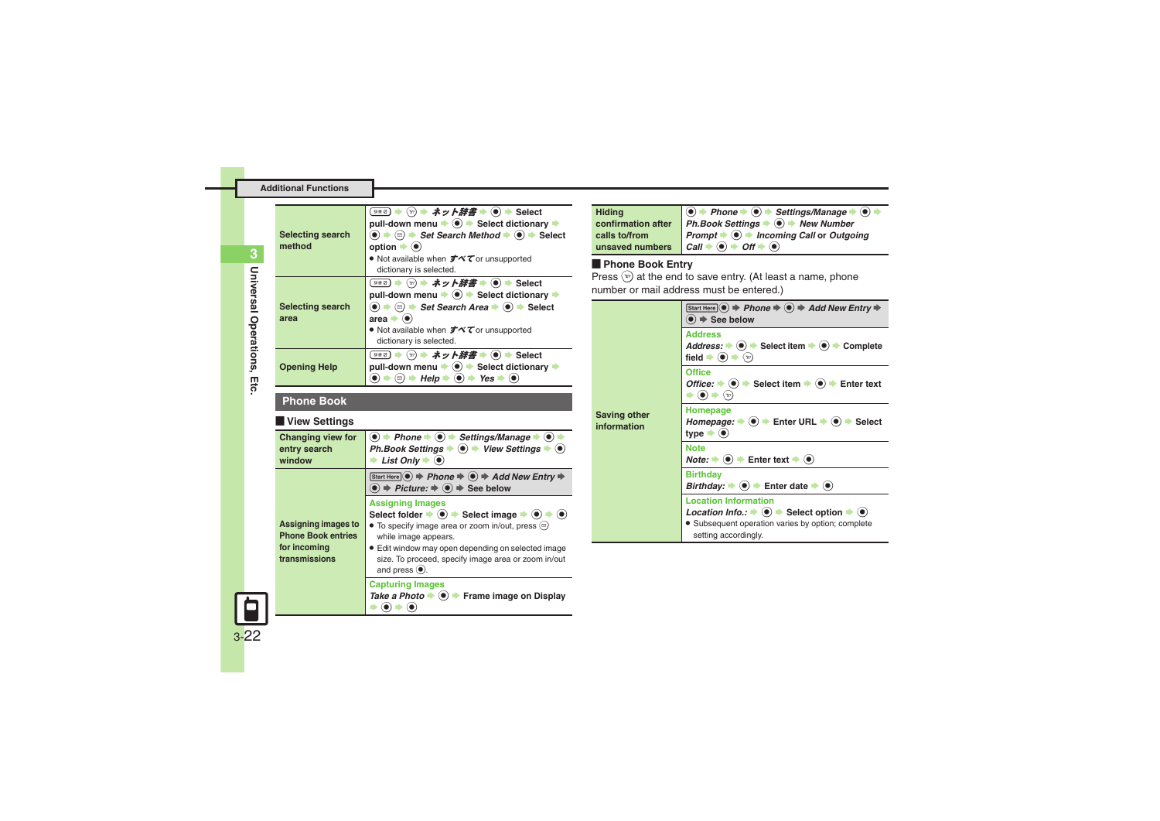<span id="page-21-1"></span><span id="page-21-0"></span>

| <b>Selecting search</b><br>method | - ♡ ⇒ ネット辞書 → (●) → Select<br>辞書 Ø )  <br>pull-down menu $\Rightarrow$ $\circledast$ $\Rightarrow$ Select dictionary $\Rightarrow$<br>$\textcircled{\bullet}$ $\Rightarrow$ $\textcircled{\bullet}$ $\Rightarrow$ Set Search Method $\Rightarrow$ $\textcircled{\bullet}$ $\Rightarrow$ Select<br>option $\bullet$ ( $\bullet$ )<br>• Not available when $\vec{\sigma} \vec{\wedge} \vec{\tau}$ or unsupported<br>dictionary is selected. |
|-----------------------------------|-------------------------------------------------------------------------------------------------------------------------------------------------------------------------------------------------------------------------------------------------------------------------------------------------------------------------------------------------------------------------------------------------------------------------------------------|
| <b>Selecting search</b><br>area   | ◯ ⇒ ネット辞書 → (●) → Select<br>辞書 2 )<br>pull-down menu $\Rightarrow$ $\circledast$ $\Rightarrow$ Select dictionary $\Rightarrow$<br>$\langle \bullet \rangle$ $\Rightarrow$ $\langle \circ \rangle$ $\Rightarrow$ Set Search Area $\Rightarrow$ $\langle \bullet \rangle$ $\Rightarrow$ Select<br>area $\bullet$ ( $\bullet$ )<br>• Not available when $\vec{J} \vec{\wedge} \vec{\tau}$ or unsupported<br>dictionary is selected.          |
| <b>Opening Help</b>               | · ♡ ➡ ネット辞書 ➡ (●) ➡ Select<br>##0) ·<br>pull-down menu → (0) → Select dictionary →<br>$\rightarrow$ Help $\rightarrow$ ( $\bullet$ ) $\rightarrow$ Yes $\rightarrow$ ( $\bullet$ )<br>(⊠)                                                                                                                                                                                                                                                 |

### **Phone Book**

### [ **View Settings**

<span id="page-21-3"></span>

| <b>Changing view for</b><br>entry search<br>window                                       | $\langle \bullet \rangle$ $\Rightarrow$ Phone $\Rightarrow$ $\langle \bullet \rangle$ $\Rightarrow$ Settings/Manage $\Rightarrow$ $\langle \bullet \rangle$<br>Ph.Book Settings $\Rightarrow$ ( $\bullet$ ) $\Rightarrow$ View Settings $\Rightarrow$ ( $\bullet$ )<br>List Only $\bullet$ $\odot$                                                                                           |
|------------------------------------------------------------------------------------------|----------------------------------------------------------------------------------------------------------------------------------------------------------------------------------------------------------------------------------------------------------------------------------------------------------------------------------------------------------------------------------------------|
| <b>Assigning images to</b><br><b>Phone Book entries</b><br>for incoming<br>transmissions | Start Here $\odot$ $\Rightarrow$ Phone $\Rightarrow$ $\odot$ $\Rightarrow$ Add New Entry $\Rightarrow$<br>$\textcircled{\textcolor{blue}{\bullet}}$ $\Rightarrow$ Picture: $\Rightarrow$ $\textcircled{\textcolor{blue}{\bullet}}$ $\Rightarrow$ See below                                                                                                                                   |
|                                                                                          | <b>Assigning Images</b><br>Select folder $\Rightarrow$ ( $\bullet$ ) $\Rightarrow$ Select image $\Rightarrow$ ( $\bullet$ ) $\Rightarrow$ ( $\bullet$ )<br>• To specify image area or zoom in/out, press $\circledcirc$<br>while image appears.<br>• Edit window may open depending on selected image<br>size. To proceed, specify image area or zoom in/out<br>and press $\circledbullet$ . |
|                                                                                          | <b>Capturing Images</b><br>Take a Photo $\Rightarrow$ $\circledast$ Frame image on Display                                                                                                                                                                                                                                                                                                   |

| <b>Hiding</b>      | $\bigcirc$ $\rightarrow$ Phone $\rightarrow$ $\bigcirc$ $\rightarrow$ Settings/Manage $\rightarrow$ $\bigcirc$ $\rightarrow$ |
|--------------------|------------------------------------------------------------------------------------------------------------------------------|
| confirmation after | Ph.Book Settings $\Rightarrow$ $\circledast$ New Number                                                                      |
| calls to/from      | <b>Prompt <math>\Rightarrow</math>  Incoming Call or Outgoing</b>                                                            |
|                    | unsaved numbers $Call \rightarrow \textcircled{\frown} H \rightarrow \textcircled{\frown}$                                   |

**Phone Book Entry**<br>Press  $\circledcirc$  at the end to save entry. (At least a name, phone number or mail address must be entered.)

<span id="page-21-2"></span>

| <b>Saving other</b><br>information | Start Here $\odot$ $\Rightarrow$ Phone $\Rightarrow$ $\odot$ $\Rightarrow$ Add New Entry $\Rightarrow$<br>$\bullet$ $\Rightarrow$ See below                                                                 |
|------------------------------------|-------------------------------------------------------------------------------------------------------------------------------------------------------------------------------------------------------------|
|                                    | <b>Address</b><br>Address: $\rightarrow$ ( $\bullet$ ) $\rightarrow$ Select item $\rightarrow$ ( $\bullet$ ) $\rightarrow$ Complete<br>field $\bullet$ ( $\bullet$ ) $\bullet$<br>$\left(\mathbf{v}\right)$ |
|                                    | <b>Office</b><br>Office: $\Rightarrow$ ( $\bullet$ ) $\Rightarrow$ Select item $\Rightarrow$ ( $\bullet$ ) $\Rightarrow$ Enter text<br>$(\mathbf{v})$                                                       |
|                                    | Homepage<br>Homepage: $\Rightarrow$ ( $\bullet$ ) $\Rightarrow$ Enter URL $\Rightarrow$ ( $\bullet$ ) $\Rightarrow$ Select<br>type $\blacktriangleright$ ( $\blacklozenge$ )                                |
|                                    | <b>Note</b><br>$Note: \rightarrow ( \bullet ) \rightarrow$ Enter text $\rightarrow ( \bullet )$                                                                                                             |
|                                    | <b>Birthday</b><br>Birthday: $\bullet$ ( $\bullet$ ) $\bullet$ Enter date $\bullet$ ( $\bullet$ )                                                                                                           |
|                                    | <b>Location Information</b>                                                                                                                                                                                 |
|                                    | Location Info.: $\Rightarrow$ $\circledast$ $\Rightarrow$ Select option $\Rightarrow$ $\circledast$                                                                                                         |
|                                    | • Subsequent operation varies by option; complete<br>setting accordingly.                                                                                                                                   |

<span id="page-21-4"></span>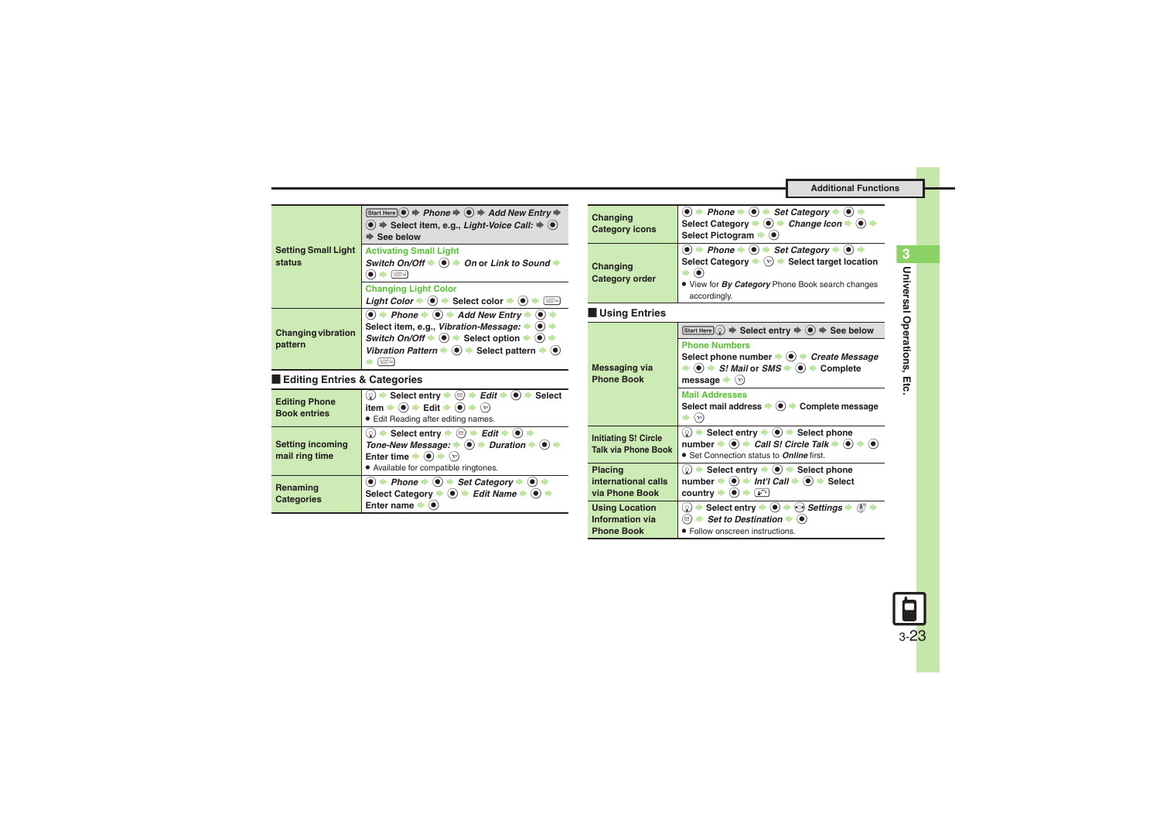<span id="page-22-0"></span>

| <b>Setting Small Light</b><br>status | Start Here $\odot$ $\Rightarrow$ Phone $\Rightarrow$ $\odot$ $\Rightarrow$ Add New Entry $\Rightarrow$<br>$\textcircled{\scriptsize{\bullet}}$ $\Rightarrow$ Select item, e.g., Light-Voice Call: $\Rightarrow$ $\textcircled{\scriptsize{\bullet}}$<br>$\blacktriangleright$ See below                                           |
|--------------------------------------|-----------------------------------------------------------------------------------------------------------------------------------------------------------------------------------------------------------------------------------------------------------------------------------------------------------------------------------|
|                                      | <b>Activating Small Light</b><br>Switch On/Off $\Rightarrow$ ( $\bullet$ ) $\Rightarrow$ On or Link to Sound $\Rightarrow$<br>[ % 25 0 0                                                                                                                                                                                          |
|                                      | <b>Changing Light Color</b><br>Light Color $\Rightarrow$ $\circledast$ $\Rightarrow$ Select color $\Rightarrow$ $\circledast$<br>[ %25 00                                                                                                                                                                                         |
| <b>Changing vibration</b><br>pattern | $\bullet$ $\bullet$ Phone $\bullet$ $\bullet$ $\bullet$ Add New Entry $\bullet$ $\bullet$<br>Select item, e.g., Vibration-Message: $\rightarrow$ $\bullet$<br>Switch On/Off $\Rightarrow$ $\circledast$ $\Rightarrow$ Select option $\Rightarrow$ $\circledast$<br>Vibration Pattern $\bullet$ $\bullet$ Select pattern $\bullet$ |

### <span id="page-22-1"></span>[ **Editing Entries & Categories**

<span id="page-22-4"></span><span id="page-22-3"></span><span id="page-22-2"></span>

| <b>Editing Phone</b><br><b>Book entries</b> | $\rightarrow$ Select entry $\rightarrow$ ( <sup>∞</sup> ) $\rightarrow$ <i>Edit</i> $\rightarrow$ ( $\bullet$ ) $\rightarrow$ Select<br>: ( ٍू)<br>item $\Rightarrow$ $\circledast$ $\Rightarrow$ Edit $\Rightarrow$ $\circledast$ $\Rightarrow$<br>• Edit Reading after editing names.                                                                                                        |
|---------------------------------------------|------------------------------------------------------------------------------------------------------------------------------------------------------------------------------------------------------------------------------------------------------------------------------------------------------------------------------------------------------------------------------------------------|
| <b>Setting incoming</b><br>mail ring time   | $\textcircled{\scriptsize{s}}$ $\Rightarrow$ Select entry $\Rightarrow$ $\textcircled{\scriptsize{s}}$ $\Rightarrow$ Edit $\Rightarrow$ $\textcircled{\scriptsize{s}}$ $\Rightarrow$<br>Tone-New Message: $\Rightarrow$ $\circledcirc$ $\Rightarrow$ Duration $\Rightarrow$ $\circledcirc$<br>Enter time $\bullet$ $\bullet$<br>$\left(\infty\right)$<br>• Available for compatible ringtones. |
| Renaming<br><b>Categories</b>               | $\bullet$ $\bullet$ Phone $\bullet$ $\bullet$ Set Category $\bullet$ $\bullet$<br>Select Category $\rightarrow$ O $\rightarrow$ Edit Name $\rightarrow$ O<br>Enter name                                                                                                                                                                                                                        |

<span id="page-22-7"></span><span id="page-22-6"></span><span id="page-22-5"></span>

| Changing<br><b>Category icons</b>                             | $\textcircled{\bullet}$ $\textup{+}$ Phone $\textup{\bullet}$ $\textcircled{\bullet}$ $\textup{+}$ Set Category $\textup{\bullet}$ $\textcircled{\bullet}$ $\textup{\bullet}$<br>Select Category $\bullet$ ( $\bullet$ ) $\bullet$ Change Icon $\bullet$ ( $\bullet$ ) $\bullet$<br>Select Pictogram $\blacktriangleright$ (0)                                                                                                                                     |
|---------------------------------------------------------------|--------------------------------------------------------------------------------------------------------------------------------------------------------------------------------------------------------------------------------------------------------------------------------------------------------------------------------------------------------------------------------------------------------------------------------------------------------------------|
| Changing<br><b>Category order</b>                             | $\textcircled{\textcircled{\bullet}}$ $\Rightarrow$ Phone $\Rightarrow$ $\textcircled{\textcircled{\bullet}}$ $\Rightarrow$ Set Category $\Rightarrow$ $\textcircled{\textcircled{\bullet}}$ $\Rightarrow$<br>Select Category $\blacktriangleright$ $\langle x \rangle$ $\blacktriangleright$ Select target location<br>. View for By Category Phone Book search changes<br>accordingly.                                                                           |
| Using Entries                                                 |                                                                                                                                                                                                                                                                                                                                                                                                                                                                    |
| Messaging via<br><b>Phone Book</b>                            | Start Here $\textcircled{S} \Rightarrow$ Select entry $\Rightarrow$ $\textcircled{S} \Rightarrow$ See below<br><b>Phone Numbers</b><br>Select phone number $\bullet$ $\bullet$ Freate Message<br>$\Rightarrow$ $\circledcirc$ $\Rightarrow$ <i>S! Mail or SMS</i> $\Rightarrow$ $\circledcirc$ $\Rightarrow$ Complete<br>message $\langle v \rangle$<br><b>Mail Addresses</b><br>Select mail address → (•) → Complete message<br>$\Rightarrow$ $\langle x \rangle$ |
| <b>Initiating S! Circle</b><br><b>Talk via Phone Book</b>     | $\textcircled{?}$ $\blacktriangleright$ Select entry $\blacktriangleright$ $\textcircled{)}$ $\blacktriangleright$ Select phone<br>number $\Rightarrow$ ( $\bullet$ ) $\Rightarrow$ Call S! Circle Talk $\Rightarrow$ ( $\bullet$ ) $\Rightarrow$ ( $\bullet$ )<br>• Set Connection status to <b>Online</b> first.                                                                                                                                                 |
| <b>Placing</b><br>international calls<br>via Phone Book       | $\textcircled{\scriptsize{0}}$ $\Rightarrow$ Select entry $\Rightarrow$ ( $\bullet$ ) $\Rightarrow$ Select phone<br>number $\Rightarrow$ ( $\bullet$ ) $\Rightarrow$ Int'l Call $\Rightarrow$ ( $\bullet$ ) $\Rightarrow$ Select<br>country $\blacktriangleright$ ( $\blacklozenge$ ) $\blacktriangleright$ [a $\cap$ ]                                                                                                                                            |
| <b>Using Location</b><br>Information via<br><b>Phone Book</b> | ◯ $\Rightarrow$ Select entry $\Rightarrow$ ⓒ $\Rightarrow$ Settings $\Rightarrow$ ( $\frac{1}{2}$ )<br>⊠) $\rightarrow$ Set to Destination $\rightarrow$ ( $\bullet$ )<br>• Follow onscreen instructions.                                                                                                                                                                                                                                                          |

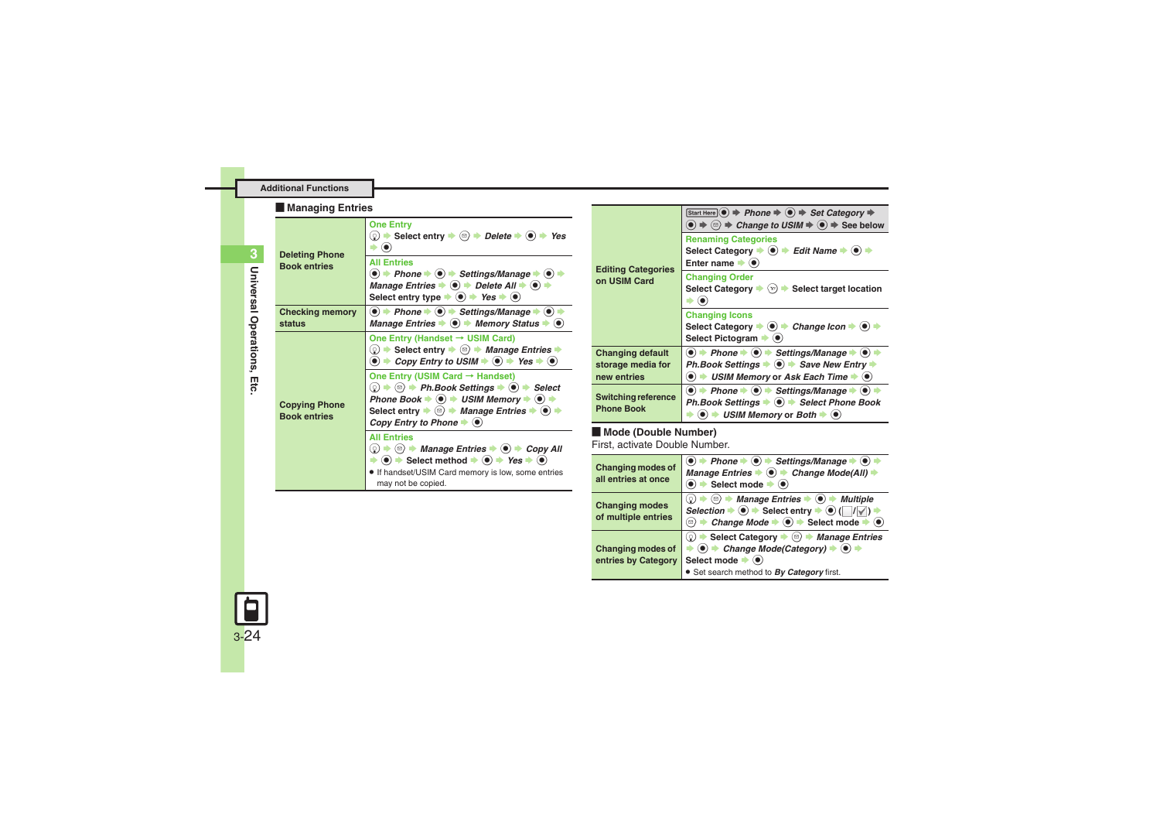### **Additional Functions**

### [ **Managing Entries**

<span id="page-23-3"></span><span id="page-23-2"></span><span id="page-23-1"></span>

| <b>Deleting Phone</b><br><b>Book entries</b> | <b>One Entry</b><br>© $\Rightarrow$ Select entry $\Rightarrow$ ( $\textcircled{e}$ ) $\Rightarrow$ Delete $\Rightarrow$ ( $\textcircled{e}$ ) $\Rightarrow$ Yes<br>$\cdot$ (e)<br><b>All Entries</b><br>$\textcircled{\bullet}$ $\textup{+}$ Phone $\textup{\bullet}$ $\textcircled{\bullet}$ $\textup{\bullet}$ Settings/Manage $\textup{\bullet}$ $\textcircled{\bullet}$ $\textup{\bullet}$<br>Manage Entries $\Rightarrow$ ( $\bullet$ ) $\Rightarrow$ Delete All $\Rightarrow$ ( $\bullet$ ) $\Rightarrow$<br>Select entry type $\Rightarrow$ (a) $\Rightarrow$ Yes $\Rightarrow$ (a) |
|----------------------------------------------|--------------------------------------------------------------------------------------------------------------------------------------------------------------------------------------------------------------------------------------------------------------------------------------------------------------------------------------------------------------------------------------------------------------------------------------------------------------------------------------------------------------------------------------------------------------------------------------------|
| <b>Checking memory</b><br>status             | $\textcircled{\bullet}$ + Phone $\textbullet$ $\textcircled{\bullet}$ + Settings/Manage $\textbullet$ $\textcircled{\bullet}$ +<br>Manage Entries $\Rightarrow$ $\circledast$ Memory Status $\Rightarrow$ $\circledast$                                                                                                                                                                                                                                                                                                                                                                    |
| <b>Copying Phone</b><br><b>Book entries</b>  | One Entry (Handset $\rightarrow$ USIM Card)<br>© $\Rightarrow$ Select entry $\Rightarrow$ <sup>©</sup> $\Rightarrow$ <i>Manage Entries</i> $\Rightarrow$<br>$\bullet$ $\Rightarrow$ Copy Entry to USIM $\Rightarrow$ $\bullet$ Yes $\Rightarrow$ $\bullet$                                                                                                                                                                                                                                                                                                                                 |
|                                              | One Entry (USIM Card → Handset)<br>◯ $\Rightarrow$ © $\Rightarrow$ Ph.Book Settings $\Rightarrow$ ( $\bullet$ ) $\Rightarrow$ Select<br>Phone Book $\Rightarrow$ $\bullet$ $\Rightarrow$ USIM Memory $\Rightarrow$ $\bullet$ $\Rightarrow$<br>Select entry $\blacktriangleright$ ( $\textcircled{e}$ ) $\blacktriangleright$ <i>Manage Entries</i> $\blacktriangleright$ ( $\bullet$ ) $\blacktriangleright$<br>Copy Entry to Phone $\blacktriangleright$ ( $\blacklozenge$ )                                                                                                              |
|                                              | <b>All Entries</b><br>$\textcircled{\scriptsize{0}}$ $\Rightarrow$ $\textcircled{\scriptsize{n}}$ Manage Entries $\Rightarrow$ $\textcircled{\scriptsize{n}}$ $\Rightarrow$ Copy All<br>$\Rightarrow$ (0) $\Rightarrow$ Select method $\Rightarrow$ (0) $\Rightarrow$ Yes $\Rightarrow$ (0)<br>. If handset/USIM Card memory is low, some entries<br>may not be copied.                                                                                                                                                                                                                    |

| <b>Editing Categories</b><br>on USIM Card            | <b>Renaming Categories</b><br>Select Category $\Rightarrow$ ( $\bullet$ ) $\Rightarrow$ Edit Name $\Rightarrow$ ( $\bullet$ ) $\Rightarrow$<br>Enter name $\blacktriangleright$ ( $\blacklozenge$ )                                                                        |
|------------------------------------------------------|----------------------------------------------------------------------------------------------------------------------------------------------------------------------------------------------------------------------------------------------------------------------------|
|                                                      | <b>Changing Order</b><br>Select Category $\blacktriangleright$ $\langle x \rangle$ $\blacktriangleright$ Select target location                                                                                                                                            |
|                                                      | <b>Changing Icons</b><br>Select Category $\Rightarrow$ ( $\bullet$ ) $\Rightarrow$ Change Icon $\Rightarrow$ ( $\bullet$ ) $\Rightarrow$<br>Select Pictogram $\blacktriangleright$ ( $\blacklozenge$ )                                                                     |
| Changing default<br>storage media for<br>new entries | $\bullet$ $\bullet$ Phone $\bullet$ $\bullet$ $\bullet$ Settings/Manage $\bullet$ $\bullet$ $\bullet$<br>Ph.Book Settings $\Rightarrow$ $\circledast$ $\Rightarrow$ Save New Entry $\Rightarrow$<br>USIM Memory or Ask Each Time $\blacktriangleright$ ( $\blacklozenge$ ) |
| Switching reference<br><b>Phone Book</b>             | $\bullet$ $\bullet$ Phone $\bullet$ $\bullet$ $\bullet$ Settings/Manage $\bullet$ $\bullet$<br>Ph.Book Settings $\Rightarrow$ ( $\bullet$ ) $\Rightarrow$ Select Phone Book<br>$\rightarrow$ 110111 Members of Bath $\rightarrow$ (a)                                      |

 $\rightarrow$   $\odot$   $\rightarrow$  *USIM Memory* or *Both*  $\rightarrow$   $\odot$ 

**Start Here** ● → Phone → ● → Set Category →  $\textcircled{\textcircled{\textcirc}} \Rightarrow \textcircled{\textcircled{\textcirc}}$  **Change to USIM**  $\Rightarrow$  **See below** 

### [ **Mode (Double Number)**

**Editing Categories on** 

<span id="page-23-4"></span>**Cha storage media for new** 

**Swi** 

First, activate Double Number.

<span id="page-23-0"></span>

| <b>Changing modes of</b><br>all entries at once | $\textcircled{\bullet}$ $\Rightarrow$ Phone $\Rightarrow$ $\textcircled{\bullet}$ $\Rightarrow$ Settings/Manage $\Rightarrow$ $\textcircled{\bullet}$<br>Manage Entries $\bullet$ $\bullet$ Change Mode(All)<br>Select mode $\blacktriangleright$ ( $\blacklozenge$ )                 |
|-------------------------------------------------|---------------------------------------------------------------------------------------------------------------------------------------------------------------------------------------------------------------------------------------------------------------------------------------|
| <b>Changing modes</b><br>of multiple entries    | (☉) + Manage Entries + (●) + Multiple<br>(٥.<br>Selection $\Rightarrow$ $\circledast$ $\Rightarrow$ Select entry $\Rightarrow$ $\circledast$ ( $\Box$ / $\Box$ )<br>Change Mode $\Rightarrow$ ( $\bullet$ ) $\Rightarrow$ Select mode $\Rightarrow$<br>$\Xi$ .                        |
| <b>Changing modes of</b><br>entries by Category | Select Category $\Rightarrow$ ( $\triangle$ ) $\Rightarrow$ Manage Entries<br>Ω.<br>$\textcircled{\textbf{A}}$ + Change Mode(Category) $\Rightarrow$ $\textcircled{\textbf{A}}$<br>Select mode $\blacktriangleright$ ( $\blacklozenge$ )<br>• Set search method to By Category first. |